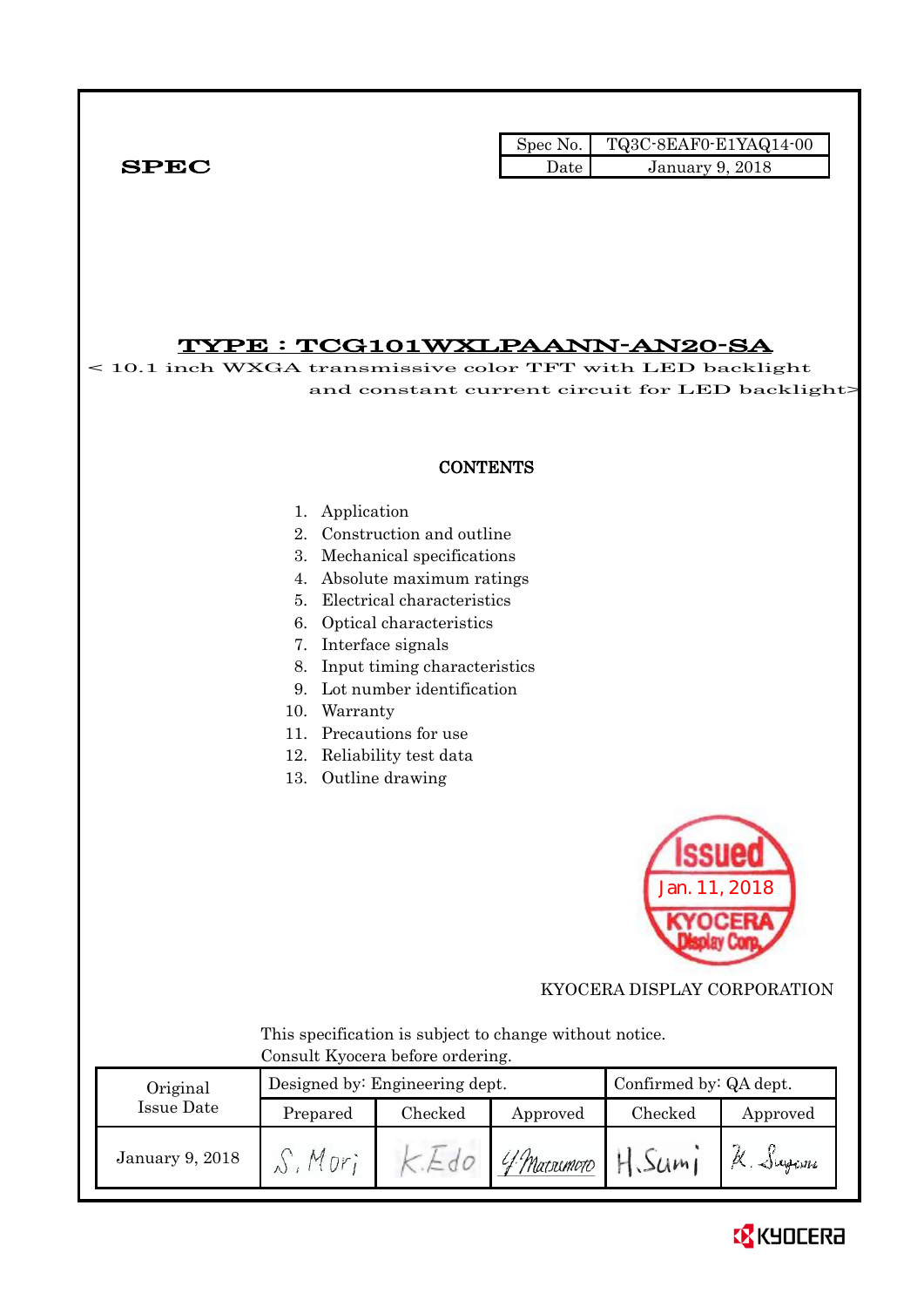|              | Spec No. | TQ3C-8EAF0-E1YAQ14-00  |
|--------------|----------|------------------------|
| ${\bf SPEC}$ | Date -   | <b>January 9, 2018</b> |

## TYPE : TCG101WXLPAANN-AN20-SA

< 10.1 inch WXGA transmissive color TFT with LED backlight and constant current circuit for LED backlight>

## **CONTENTS**

#### 1. Application

- 2. Construction and outline
- 3. Mechanical specifications
- 4. Absolute maximum ratings
- 5. Electrical characteristics
- 6. Optical characteristics
- 7. Interface signals
- 8. Input timing characteristics
- 9. Lot number identification
- 10. Warranty
- 11. Precautions for use
- 12. Reliability test data
- 13. Outline drawing



KYOCERA DISPLAY CORPORATION

 This specification is subject to change without notice. Consult Kyocera before ordering.

| Original        |          | Designed by: Engineering dept. |              | Confirmed by: QA dept. |                   |  |
|-----------------|----------|--------------------------------|--------------|------------------------|-------------------|--|
| Issue Date      | Prepared | Checked                        | Approved     | Checked                | Approved          |  |
| January 9, 2018 | Mor.     |                                | 'f Marximoto | 50m                    | $\alpha$ . Jugani |  |

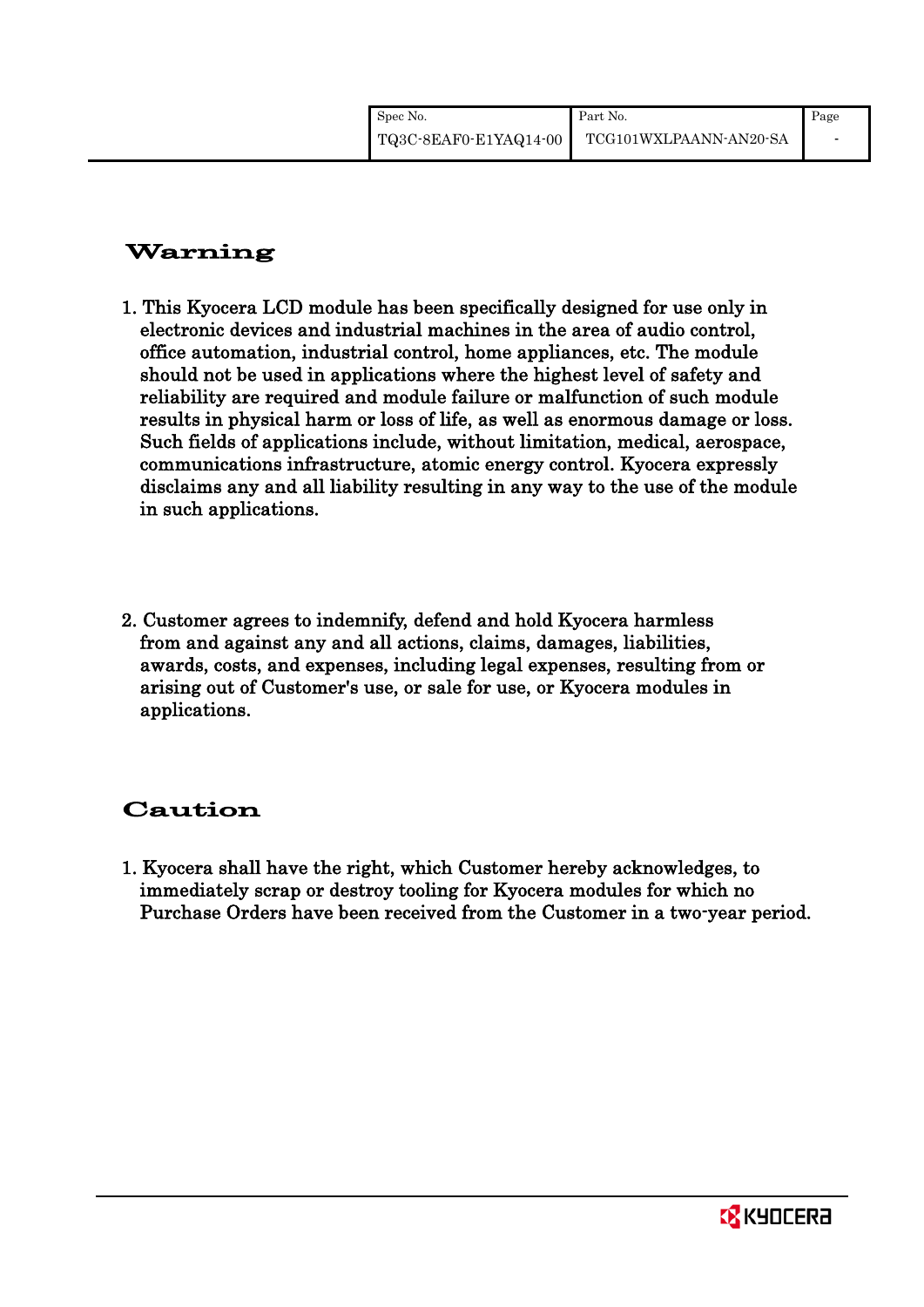| Spec No.              | Part No.               | Page                     |
|-----------------------|------------------------|--------------------------|
| TQ3C-8EAF0-E1YAQ14-00 | TCG101WXLPAANN-AN20-SA | $\overline{\phantom{a}}$ |

# Warning

- 1. This Kyocera LCD module has been specifically designed for use only in electronic devices and industrial machines in the area of audio control, office automation, industrial control, home appliances, etc. The module should not be used in applications where the highest level of safety and reliability are required and module failure or malfunction of such module results in physical harm or loss of life, as well as enormous damage or loss. Such fields of applications include, without limitation, medical, aerospace, communications infrastructure, atomic energy control. Kyocera expressly disclaims any and all liability resulting in any way to the use of the module in such applications.
- 2. Customer agrees to indemnify, defend and hold Kyocera harmless from and against any and all actions, claims, damages, liabilities, awards, costs, and expenses, including legal expenses, resulting from or arising out of Customer's use, or sale for use, or Kyocera modules in applications.

# Caution

1. Kyocera shall have the right, which Customer hereby acknowledges, to immediately scrap or destroy tooling for Kyocera modules for which no Purchase Orders have been received from the Customer in a two-year period.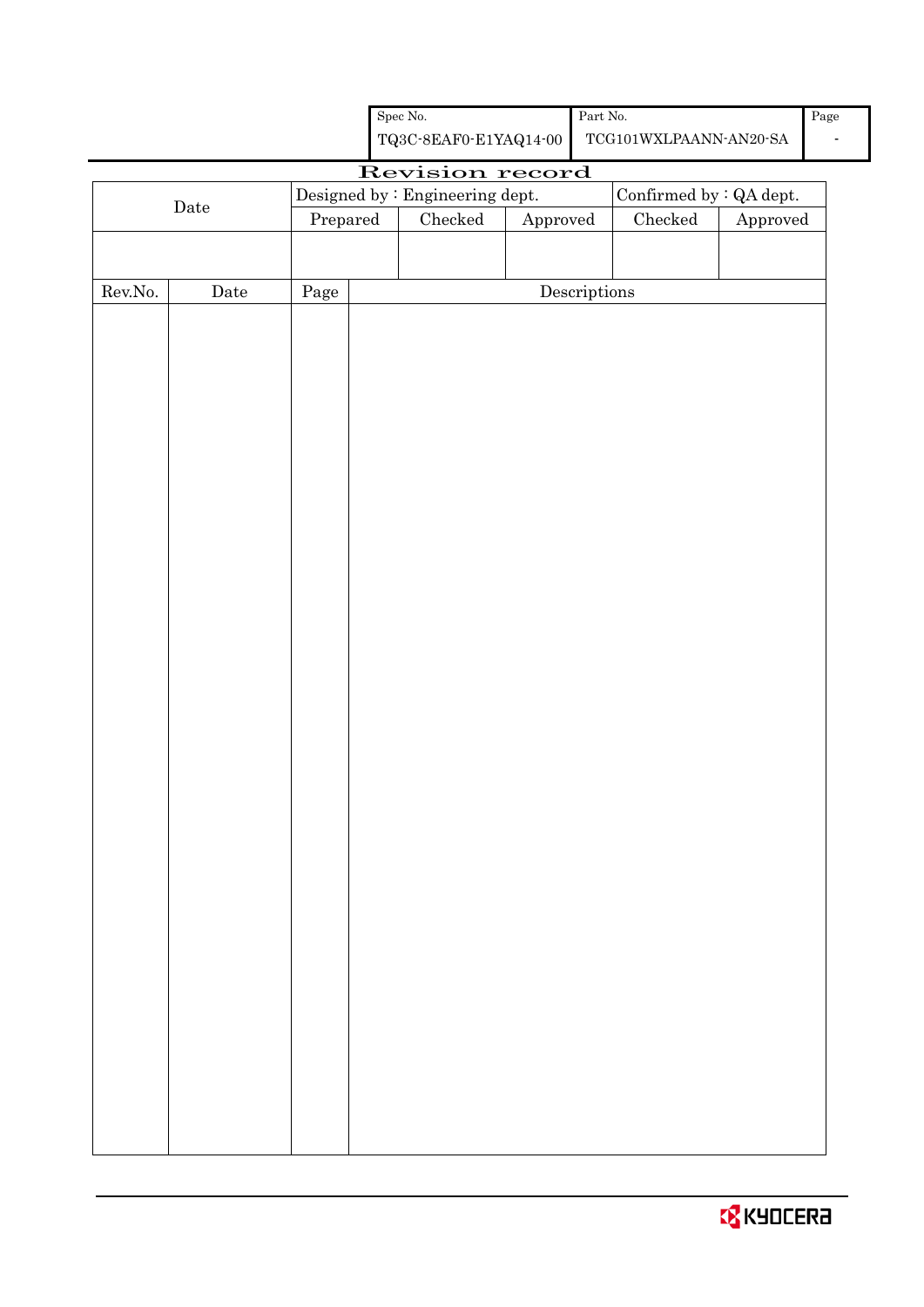|         |             |            | ${\rm Spec}$ No.<br>${\bf TQ3C\text{-}SEAF0\text{-}E1YAQ14\text{-}00}$ |          | Part No.                             | $\operatorname{TCG101WXLPAANN}\cdot \operatorname{AN20\text{-}SA}$ |          | $\rm Page$ |
|---------|-------------|------------|------------------------------------------------------------------------|----------|--------------------------------------|--------------------------------------------------------------------|----------|------------|
|         |             |            |                                                                        |          |                                      |                                                                    |          |            |
|         |             |            | Revision record                                                        |          |                                      |                                                                    |          |            |
|         | Date        | Prepared   | Designed by : Engineering dept.<br>${\it Checked}$                     |          |                                      | Confirmed by : QA dept.<br>${\it Checked}$                         | Approved |            |
|         |             |            |                                                                        | Approved |                                      |                                                                    |          |            |
|         |             |            |                                                                        |          |                                      |                                                                    |          |            |
| Rev.No. | $\rm{Date}$ | $\rm Page$ |                                                                        |          | $\label{eq:2} \textbf{Descriptions}$ |                                                                    |          |            |
|         |             |            |                                                                        |          |                                      |                                                                    |          |            |
|         |             |            |                                                                        |          |                                      |                                                                    |          |            |
|         |             |            |                                                                        |          |                                      |                                                                    |          |            |
|         |             |            |                                                                        |          |                                      |                                                                    |          |            |
|         |             |            |                                                                        |          |                                      |                                                                    |          |            |
|         |             |            |                                                                        |          |                                      |                                                                    |          |            |
|         |             |            |                                                                        |          |                                      |                                                                    |          |            |
|         |             |            |                                                                        |          |                                      |                                                                    |          |            |
|         |             |            |                                                                        |          |                                      |                                                                    |          |            |
|         |             |            |                                                                        |          |                                      |                                                                    |          |            |
|         |             |            |                                                                        |          |                                      |                                                                    |          |            |
|         |             |            |                                                                        |          |                                      |                                                                    |          |            |
|         |             |            |                                                                        |          |                                      |                                                                    |          |            |
|         |             |            |                                                                        |          |                                      |                                                                    |          |            |
|         |             |            |                                                                        |          |                                      |                                                                    |          |            |
|         |             |            |                                                                        |          |                                      |                                                                    |          |            |
|         |             |            |                                                                        |          |                                      |                                                                    |          |            |
|         |             |            |                                                                        |          |                                      |                                                                    |          |            |
|         |             |            |                                                                        |          |                                      |                                                                    |          |            |
|         |             |            |                                                                        |          |                                      |                                                                    |          |            |
|         |             |            |                                                                        |          |                                      |                                                                    |          |            |
|         |             |            |                                                                        |          |                                      |                                                                    |          |            |
|         |             |            |                                                                        |          |                                      |                                                                    |          |            |
|         |             |            |                                                                        |          |                                      |                                                                    |          |            |
|         |             |            |                                                                        |          |                                      |                                                                    |          |            |
|         |             |            |                                                                        |          |                                      |                                                                    |          |            |
|         |             |            |                                                                        |          |                                      |                                                                    |          |            |
|         |             |            |                                                                        |          |                                      |                                                                    |          |            |
|         |             |            |                                                                        |          |                                      |                                                                    |          |            |
|         |             |            |                                                                        |          |                                      |                                                                    |          |            |
|         |             |            |                                                                        |          |                                      |                                                                    |          |            |
|         |             |            |                                                                        |          |                                      |                                                                    |          |            |
|         |             |            |                                                                        |          |                                      |                                                                    |          |            |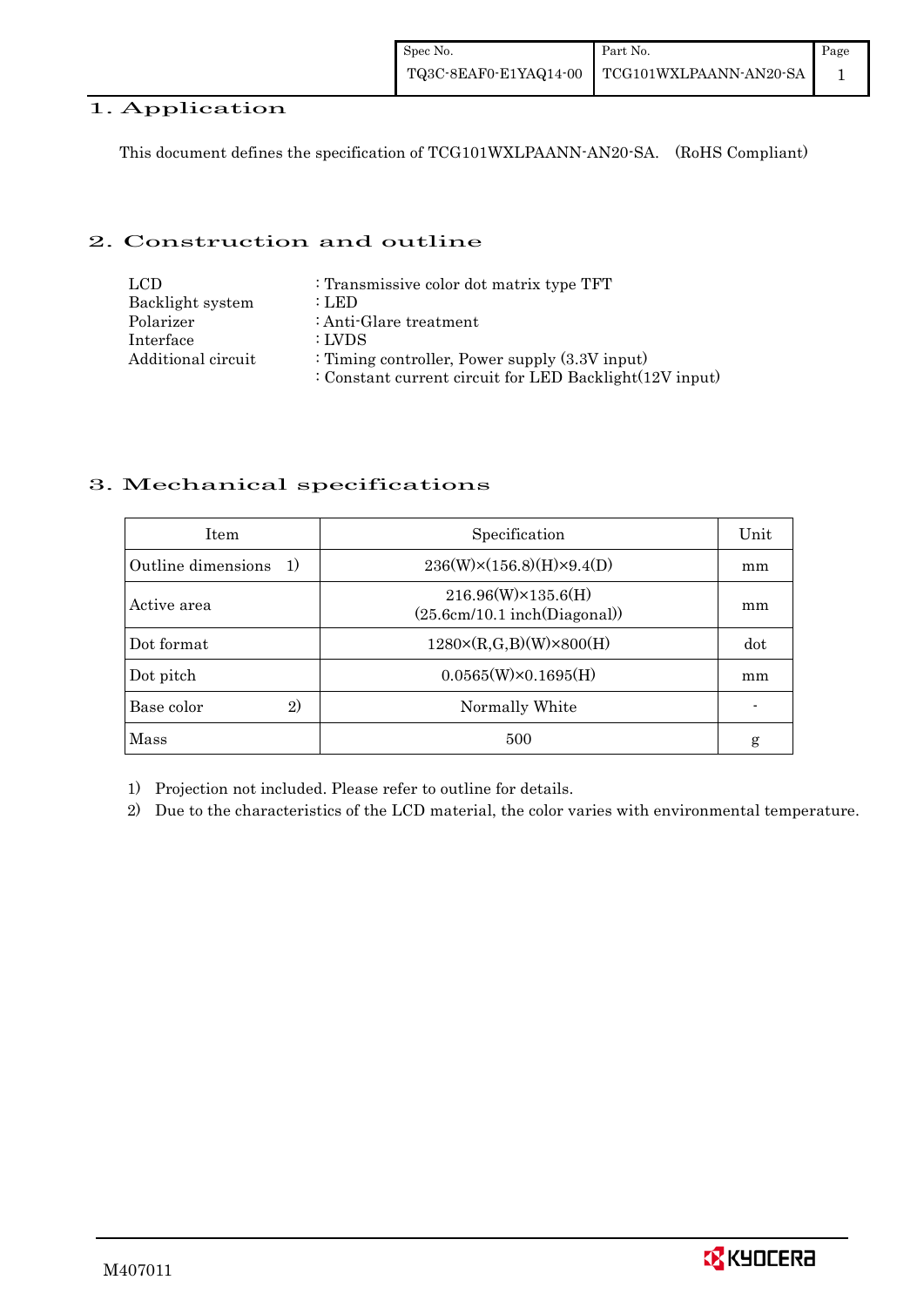## 1. Application

This document defines the specification of TCG101WXLPAANN-AN20-SA. (RoHS Compliant)

### 2. Construction and outline

| LCD.               | : Transmissive color dot matrix type TFT                |
|--------------------|---------------------------------------------------------|
| Backlight system   | : LED                                                   |
| Polarizer          | : Anti-Glare treatment                                  |
| Interface          | : LVDS                                                  |
| Additional circuit | : Timing controller, Power supply $(3.3V)$ input)       |
|                    | : Constant current circuit for LED Backlight(12V input) |

## 3. Mechanical specifications

| <b>Item</b>                | Specification                                                   | Unit |
|----------------------------|-----------------------------------------------------------------|------|
| Outline dimensions<br>1)   | $236(W)\times(156.8)(H)\times9.4(D)$                            | mm   |
| Active area                | $216.96(W)\times 135.6(H)$<br>$(25.6cm/10.1$ inch $(Diagonal))$ | mm   |
| Dot format                 | $1280 \times (R,G,B)(W) \times 800(H)$                          | dot  |
| Dot pitch                  | $0.0565(W) \times 0.1695(H)$                                    | mm   |
| $\mathbf{2}$<br>Base color | Normally White                                                  |      |
| Mass                       | 500                                                             | g    |

1) Projection not included. Please refer to outline for details.

2) Due to the characteristics of the LCD material, the color varies with environmental temperature.

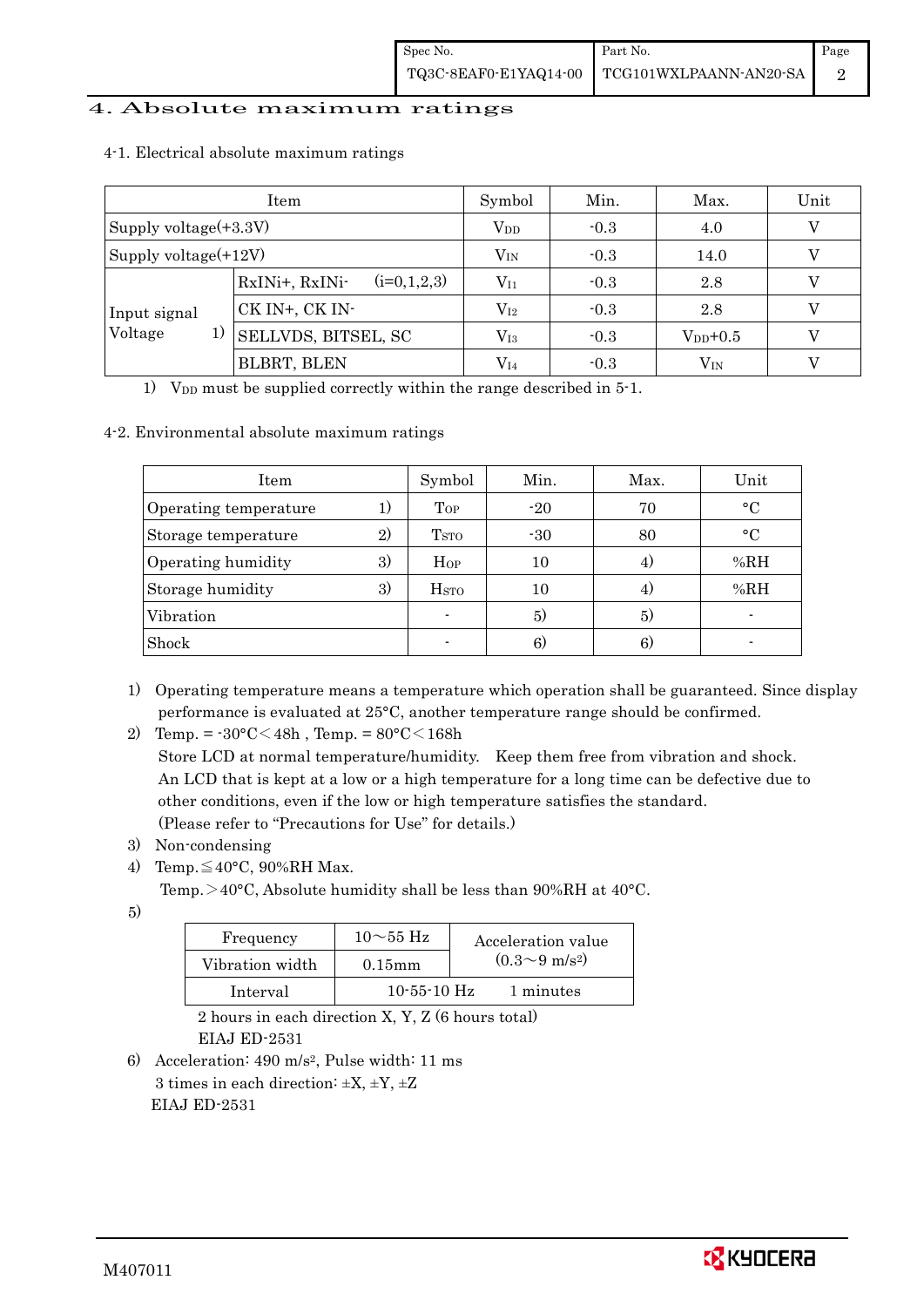## 4. Absolute maximum ratings

|                       | Item                            | Symbol          | Min.   | Max.         | Unit |
|-----------------------|---------------------------------|-----------------|--------|--------------|------|
| Supply voltage(+3.3V) |                                 | V <sub>DD</sub> | $-0.3$ | 4.0          |      |
| Supply voltage(+12V)  |                                 | $V_{IN}$        | $-0.3$ | 14.0         |      |
|                       | $(i=0,1,2,3)$<br>RxINi+, RxINi- | $V_{I1}$        | $-0.3$ | 2.8          |      |
| Input signal          | CK IN+, CK IN-                  | $\rm V_{I2}$    | $-0.3$ | 2.8          |      |
| Voltage<br>1)         | <b>SELLVDS, BITSEL, SC</b>      | $\rm V_{I3}$    | $-0.3$ | $V_{DD}+0.5$ |      |
|                       | <b>BLBRT, BLEN</b>              | $\rm V_{I4}$    | $-0.3$ | $\rm V_{IN}$ |      |

4-1. Electrical absolute maximum ratings

1) V<sub>DD</sub> must be supplied correctly within the range described in  $5$ -1.

#### 4-2. Environmental absolute maximum ratings

| Item                  |              | Symbol                  | Min.  | Max. | Unit         |
|-----------------------|--------------|-------------------------|-------|------|--------------|
| Operating temperature |              | Top                     | $-20$ | 70   | $\circ$ C    |
| Storage temperature   | $\mathbf{2}$ | T <sub>STO</sub>        | $-30$ | 80   | $^{\circ}$ C |
| Operating humidity    | 3)           | Hop                     | 10    | 4.   | %RH          |
| Storage humidity      | 3)           | <b>H</b> <sub>sto</sub> | 10    | 4)   | %RH          |
| Vibration             |              |                         | 5)    | 5)   |              |
| Shock                 |              |                         | 6)    | 6)   |              |

1) Operating temperature means a temperature which operation shall be guaranteed. Since display performance is evaluated at 25°C, another temperature range should be confirmed.

 Store LCD at normal temperature/humidity. Keep them free from vibration and shock. An LCD that is kept at a low or a high temperature for a long time can be defective due to other conditions, even if the low or high temperature satisfies the standard. (Please refer to "Precautions for Use" for details.)

- 3) Non-condensing
- 4) Temp. $\leq 40^{\circ}$ C, 90%RH Max.
	- Temp. >40°C, Absolute humidity shall be less than 90%RH at 40°C.
- 5)

| Frequency       | $10\sim$ 55 Hz    | Acceleration value         |
|-----------------|-------------------|----------------------------|
| Vibration width | $0.15$ mm         | $(0.3{\sim}9~{\rm m/s^2})$ |
| Interval        | $10 - 55 - 10$ Hz | 1 minutes                  |

 2 hours in each direction X, Y, Z (6 hours total) EIAJ ED-2531

6) Acceleration: 490 m/s2, Pulse width: 11 ms 3 times in each direction:  $\pm X$ ,  $\pm Y$ ,  $\pm Z$ EIAJ ED-2531



<sup>2)</sup> Temp. =  $-30^{\circ}$ C $<$ 48h, Temp. =  $80^{\circ}$ C $<$ 168h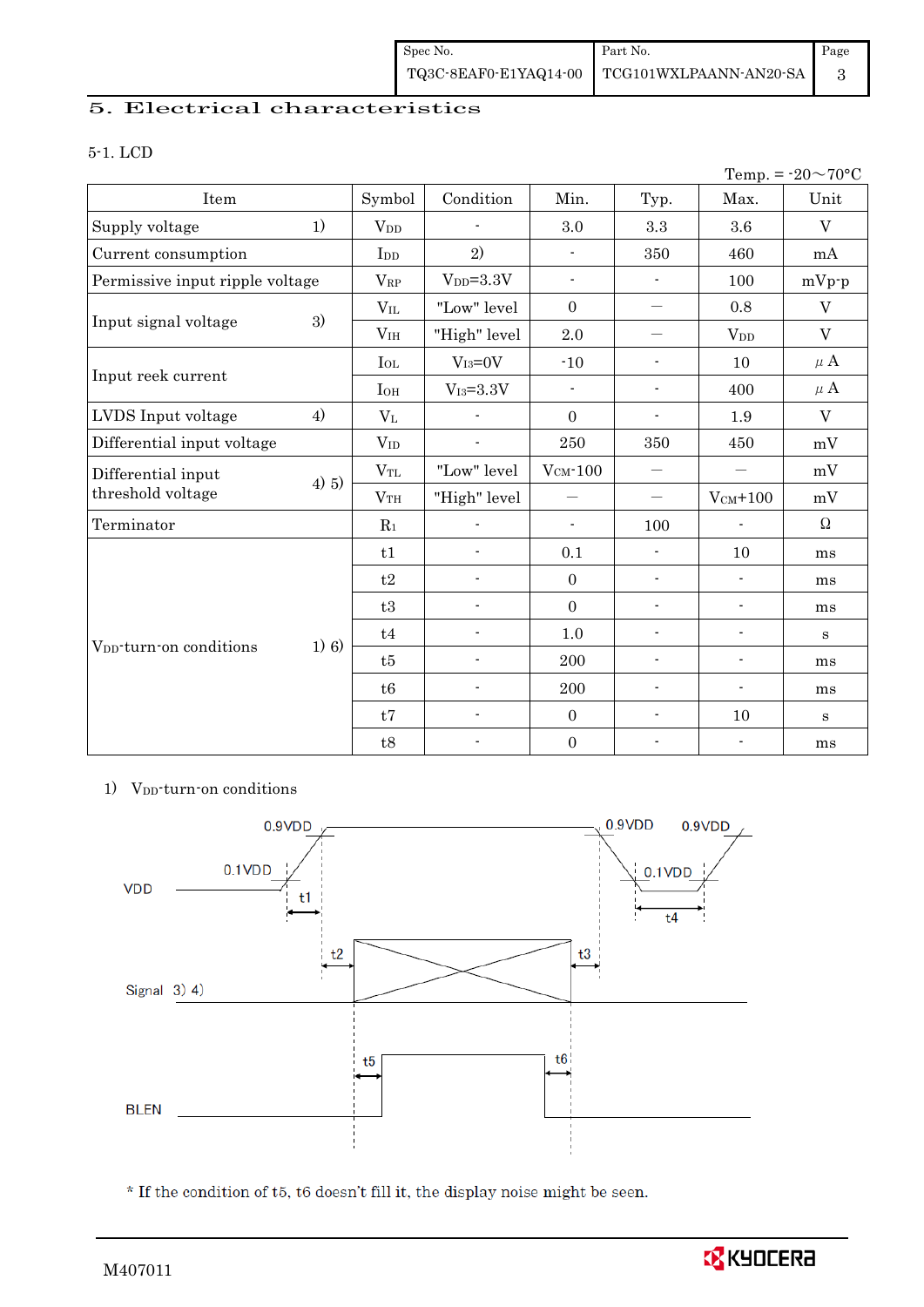## 5. Electrical characteristics

#### 5-1. LCD

|                                     |       |                       |                          |                          |                                  |                          | Temp. = $-20 \sim 70$ °C |
|-------------------------------------|-------|-----------------------|--------------------------|--------------------------|----------------------------------|--------------------------|--------------------------|
| Item                                |       | Symbol                | Condition                | Min.                     | Typ.                             | Max.                     | Unit                     |
| Supply voltage                      | 1)    | <b>V<sub>DD</sub></b> |                          | 3.0                      | 3.3                              | 3.6                      | $\overline{V}$           |
| Current consumption                 |       | I <sub>DD</sub>       | 2)                       | $\blacksquare$           | 350                              | 460                      | mA                       |
| Permissive input ripple voltage     |       | $V_{RP}$              | $V_{DD} = 3.3V$          | $\overline{\phantom{a}}$ | $\blacksquare$                   | 100                      | $mVp-p$                  |
| Input signal voltage                |       | $V_{IL}$              | "Low" level              | $\overline{0}$           | $\qquad \qquad -$                | 0.8                      | V                        |
|                                     | 3)    | V <sub>IH</sub>       | "High" level             | 2.0                      | $\overline{\phantom{0}}$         | <b>V</b> <sub>DD</sub>   | V                        |
| Input reek current                  |       | $I_{OL}$              | $V_{I3}=0V$              | $-10$                    | $\overline{\phantom{a}}$         | 10                       | $\mu$ A                  |
|                                     |       | $I_{OH}$              | $V_{I3} = 3.3V$          | $\blacksquare$           | $\overline{\phantom{a}}$         | 400                      | $\mu$ A                  |
| LVDS Input voltage                  | 4)    | $V_{L}$               |                          | $\boldsymbol{0}$         | $\blacksquare$                   | 1.9                      | V                        |
| Differential input voltage          |       | $V_{ID}$              | $\overline{\phantom{a}}$ | 250                      | 350                              | 450                      | mV                       |
| Differential input                  |       | $V_{TL}$              | "Low" level              | $V_{CM}$ -100            | $\overbrace{\phantom{12322111}}$ |                          | mV                       |
| threshold voltage                   | 4) 5) | V <sub>TH</sub>       | "High" level             |                          | $\qquad \qquad -$                | $V_{CM}$ +100            | mV                       |
| Terminator                          |       | $R_1$                 |                          | $\blacksquare$           | 100                              |                          | $\Omega$                 |
|                                     |       | t1                    | $\frac{1}{2}$            | 0.1                      | $\overline{\phantom{a}}$         | 10                       | ms                       |
|                                     |       | t2                    | $\overline{\phantom{0}}$ | $\overline{0}$           | $\overline{\phantom{a}}$         | $\overline{\phantom{a}}$ | ms                       |
|                                     |       | t3                    | $\overline{\phantom{a}}$ | $\overline{0}$           | $\overline{\phantom{a}}$         | $\blacksquare$           | ms                       |
|                                     |       | t4                    | $\blacksquare$           | $1.0\,$                  | $\blacksquare$                   | $\blacksquare$           | S                        |
| V <sub>DD</sub> -turn-on conditions | 1) 6) | t5                    | 200                      |                          | $\overline{\phantom{a}}$         | $\overline{\phantom{a}}$ | ms                       |
|                                     |       | t6                    | $\overline{a}$           | 200                      | $\blacksquare$                   | $\overline{\phantom{a}}$ | ms                       |
|                                     |       | t7                    | $\frac{1}{2}$            | $\overline{0}$           | $\overline{\phantom{a}}$         | 10                       | $\bf S$                  |
|                                     |       | t8                    | $\overline{\phantom{a}}$ | $\boldsymbol{0}$         | $\overline{\phantom{a}}$         | $\blacksquare$           | ms                       |

#### 1) V<sub>DD</sub>-turn-on conditions



 $^\star$  If the condition of t5, t6 doesn't fill it, the display noise might be seen.

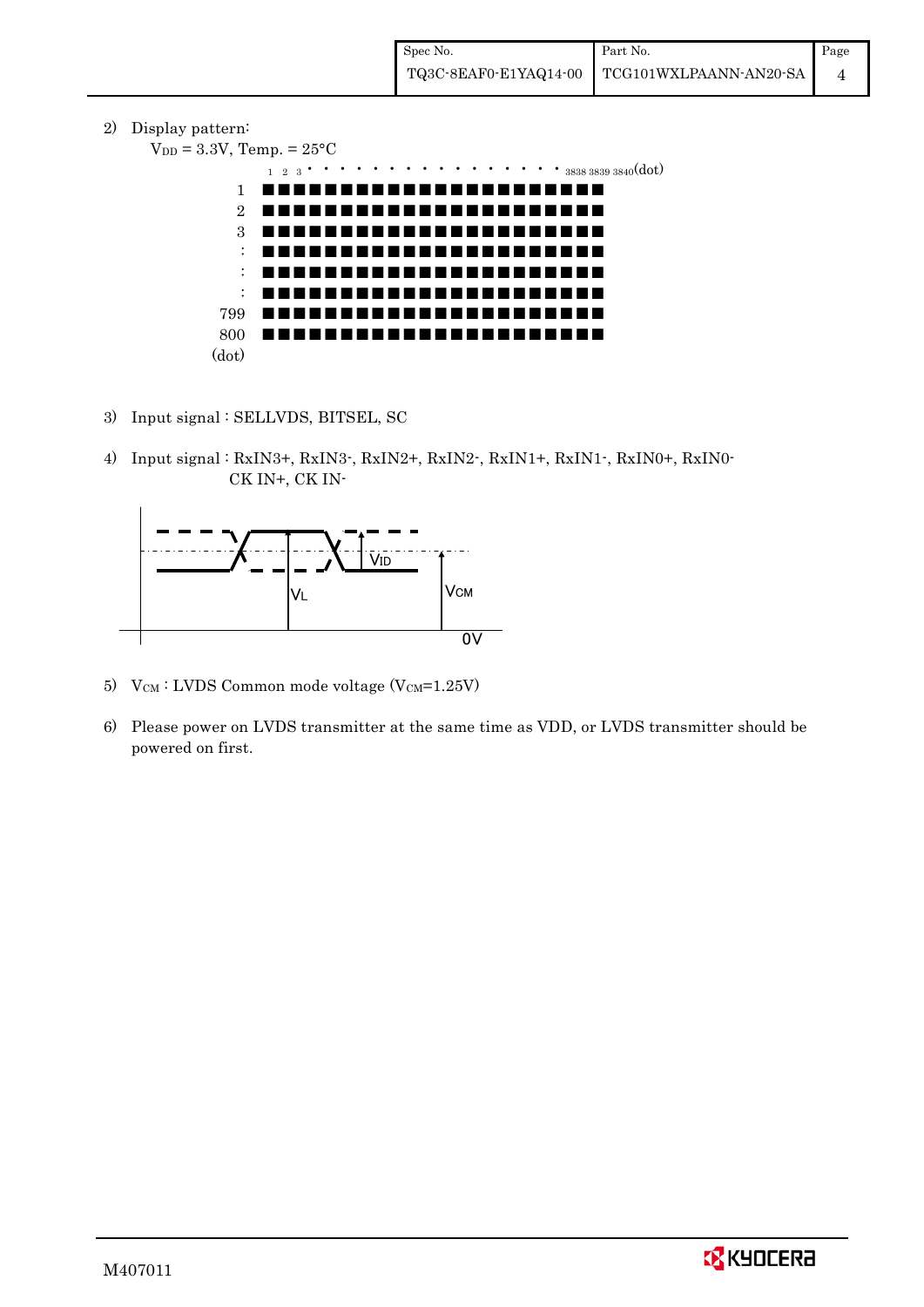2) Display pattern:

```
V_{DD} = 3.3V, Temp. = 25^{\circ}C
     1 2 3・・・・・・・・・・・・・・・・3838 3839 3840(dot)
  1
  2
  3
  :
  :
  :
799
800
(dot)
    ■■■■■■■■■■■■■■■■■■■■■■
    ■■■■■■■■■■■■■■■■■■■■■■
    ■■■■■■■■■■■■■■■■■■■■■■
    ■■■■■■■■■■■■■■■■■■■■■■
    ■■■■■■■■■■■■■■■■■■■■■■
                        ■■■■■■■■■■■■■■■■■■■■■■
    ■■■■■■■■■■■■■■■■■■■■■■
    ■■■■■■■■■■■■■■■■■■■■■■
```
- 3) Input signal : SELLVDS, BITSEL, SC
- 4) Input signal : RxIN3+, RxIN3-, RxIN2+, RxIN2-, RxIN1+, RxIN1-, RxIN0+, RxIN0- CK IN+, CK IN-



- 5) V $_{\text{CM}}$ : LVDS Common mode voltage (V $_{\text{CM}}$ =1.25V)
- 6) Please power on LVDS transmitter at the same time as VDD, or LVDS transmitter should be powered on first.

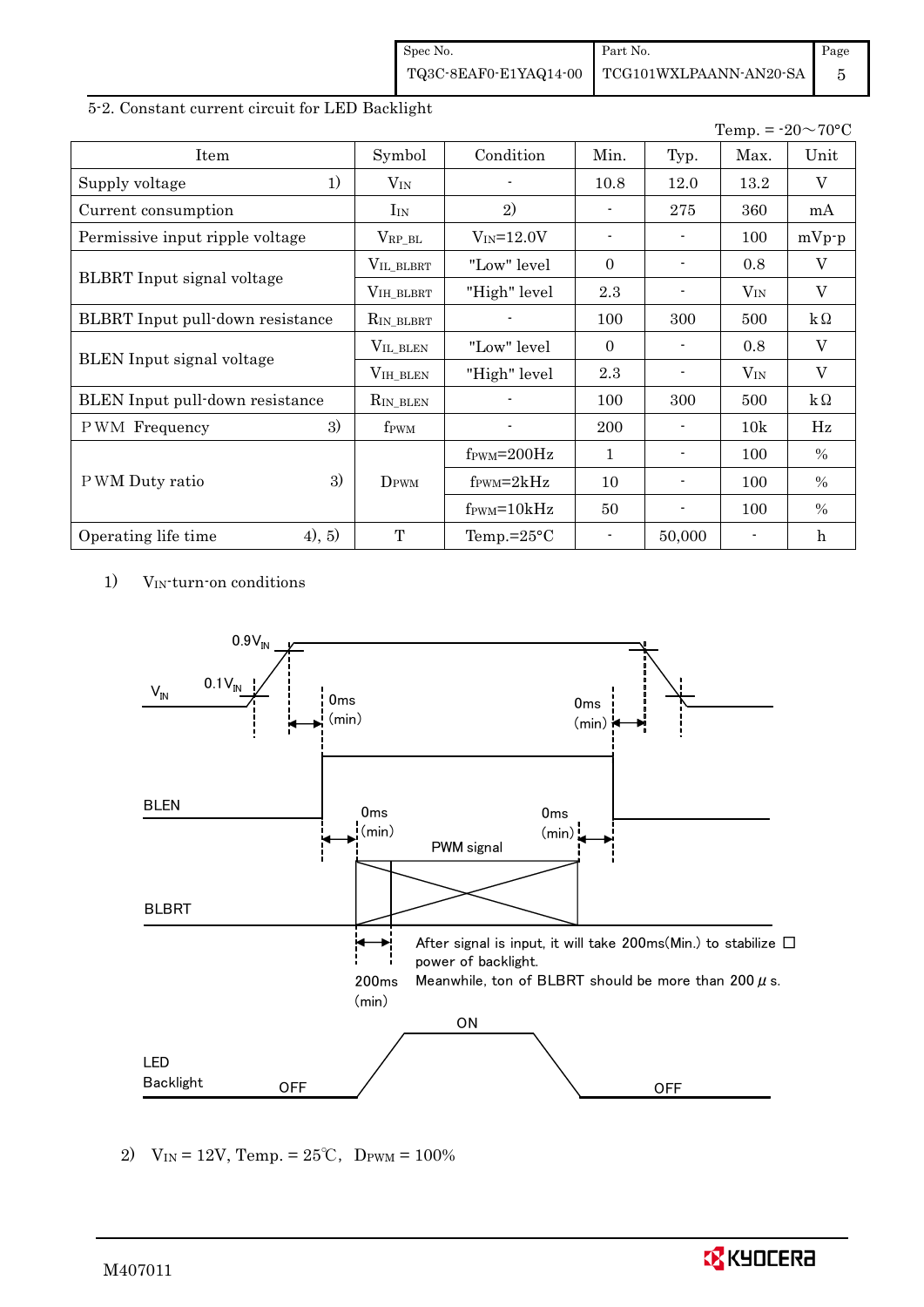| Spec No. | Part No.                                     | Page |
|----------|----------------------------------------------|------|
|          | TQ3C-8EAF0-E1YAQ14-00 TCG101WXLPAANN-AN20-SA |      |

## 5-2. Constant current circuit for LED Backlight

|                                         |                  |                               |                          |        |          | Temp. = $-20 \sim 70$ °C |
|-----------------------------------------|------------------|-------------------------------|--------------------------|--------|----------|--------------------------|
| Item                                    | Symbol           | Condition                     | Min.                     | Typ.   | Max.     | Unit                     |
| 1)<br>Supply voltage                    | $V_{IN}$         |                               | 10.8                     | 12.0   | 13.2     | V                        |
| Current consumption                     | $I_{IN}$         | 2)                            |                          | 275    | 360      | mA                       |
| Permissive input ripple voltage         | $V_{RP\_BL}$     | $V_{IN} = 12.0V$              | $\overline{\phantom{a}}$ |        | 100      | $mVp-p$                  |
|                                         | VIL_BLBRT        | "Low" level                   | $\Omega$                 |        | 0.8      | V                        |
| BLBRT Input signal voltage              | VIH_BLBRT        | "High" level                  | 2.3                      |        | $V_{IN}$ | $\overline{V}$           |
| <b>BLBRT</b> Input pull-down resistance | $R_{IN_BLEBRT}$  |                               | 100                      | 300    | 500      | $k\Omega$                |
|                                         | VIL_BLEN         | "Low" level"                  | $\Omega$                 |        | 0.8      | V                        |
| <b>BLEN</b> Input signal voltage        | $VIH_BLEN$       | "High" level                  | 2.3                      |        | $V_{IN}$ | V                        |
| BLEN Input pull-down resistance         | $R_{IN\_BLEN}$   |                               | 100                      | 300    | 500      | $k\Omega$                |
| 3)<br>PWM Frequency                     | f <sub>PWM</sub> |                               | 200                      |        | 10k      | Hz                       |
|                                         |                  | $f_{\rm PWM} = 200 \text{Hz}$ | $\mathbf{1}$             |        | 100      | $\frac{0}{0}$            |
| 3)<br>P WM Duty ratio                   | DPWM             | $f_{\text{PWM}}=2kHz$         | 10                       |        | 100      | $\%$                     |
|                                         |                  | $f_{\text{PWM}} = 10kHz$      | 50                       |        | 100      | $\%$                     |
| 4), 5)<br>Operating life time           | T                | Temp.= $25^{\circ}$ C         | $\blacksquare$           | 50,000 |          | $\boldsymbol{h}$         |

1) VIN-turn-on conditions



2)  $V_{IN} = 12V$ , Temp. =  $25^{\circ}C$ , DPWM =  $100\%$ 

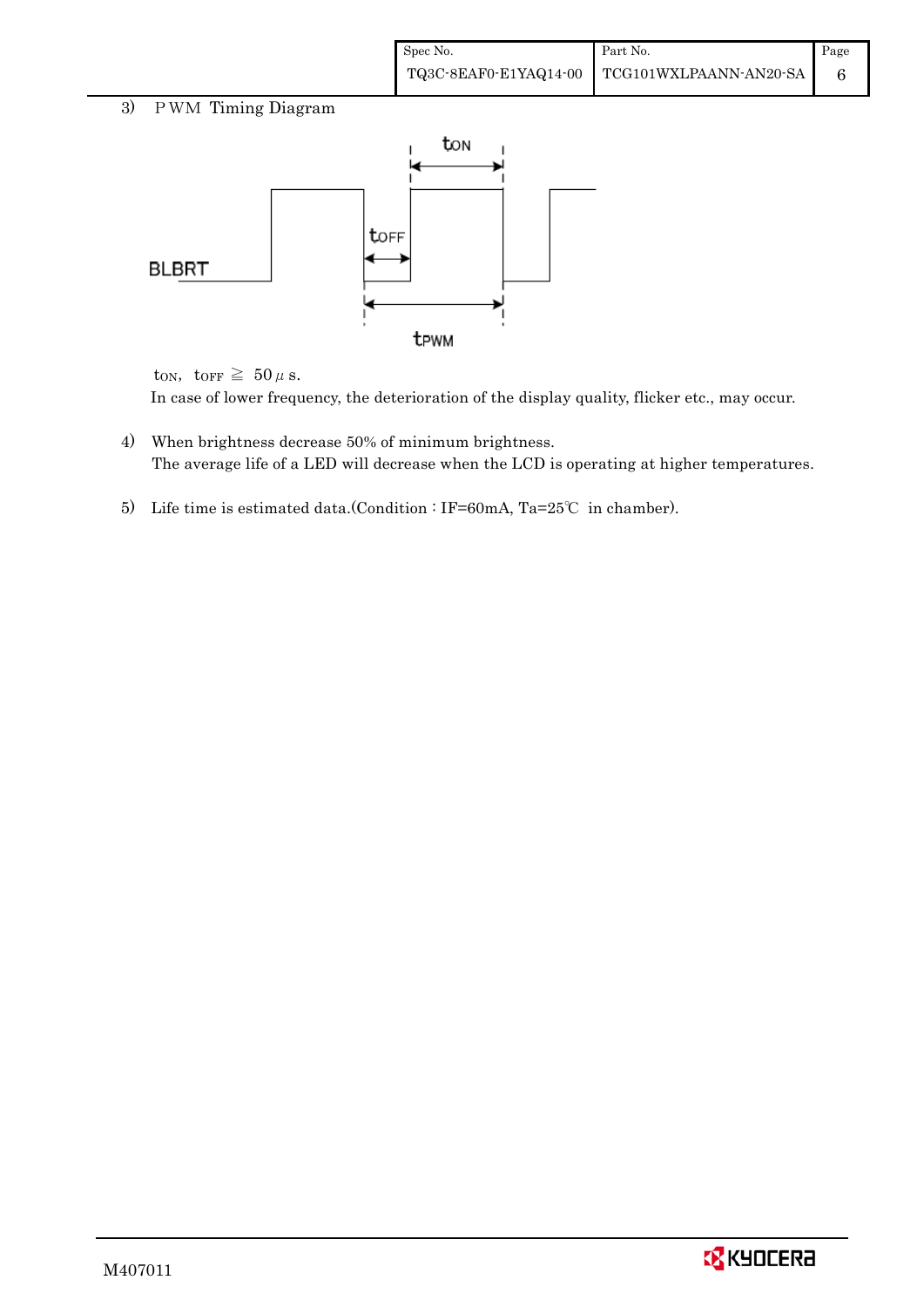| Spec No. | Part No.                                                                                                                 | Page |
|----------|--------------------------------------------------------------------------------------------------------------------------|------|
|          | $\left. {\color{red}\textbf{TQ3C-8EAF0-E1YAQ14-00}} \right  \left. {\color{red}\textbf{TCG101WXLPAANN-AN20-SA}} \right $ |      |

## 3) PWM Timing Diagram



ton, torr  $\geq 50 \,\mu$  s.

In case of lower frequency, the deterioration of the display quality, flicker etc., may occur.

- 4) When brightness decrease 50% of minimum brightness. The average life of a LED will decrease when the LCD is operating at higher temperatures.
- 5) Life time is estimated data.(Condition : IF=60mA, Ta=25℃ in chamber).

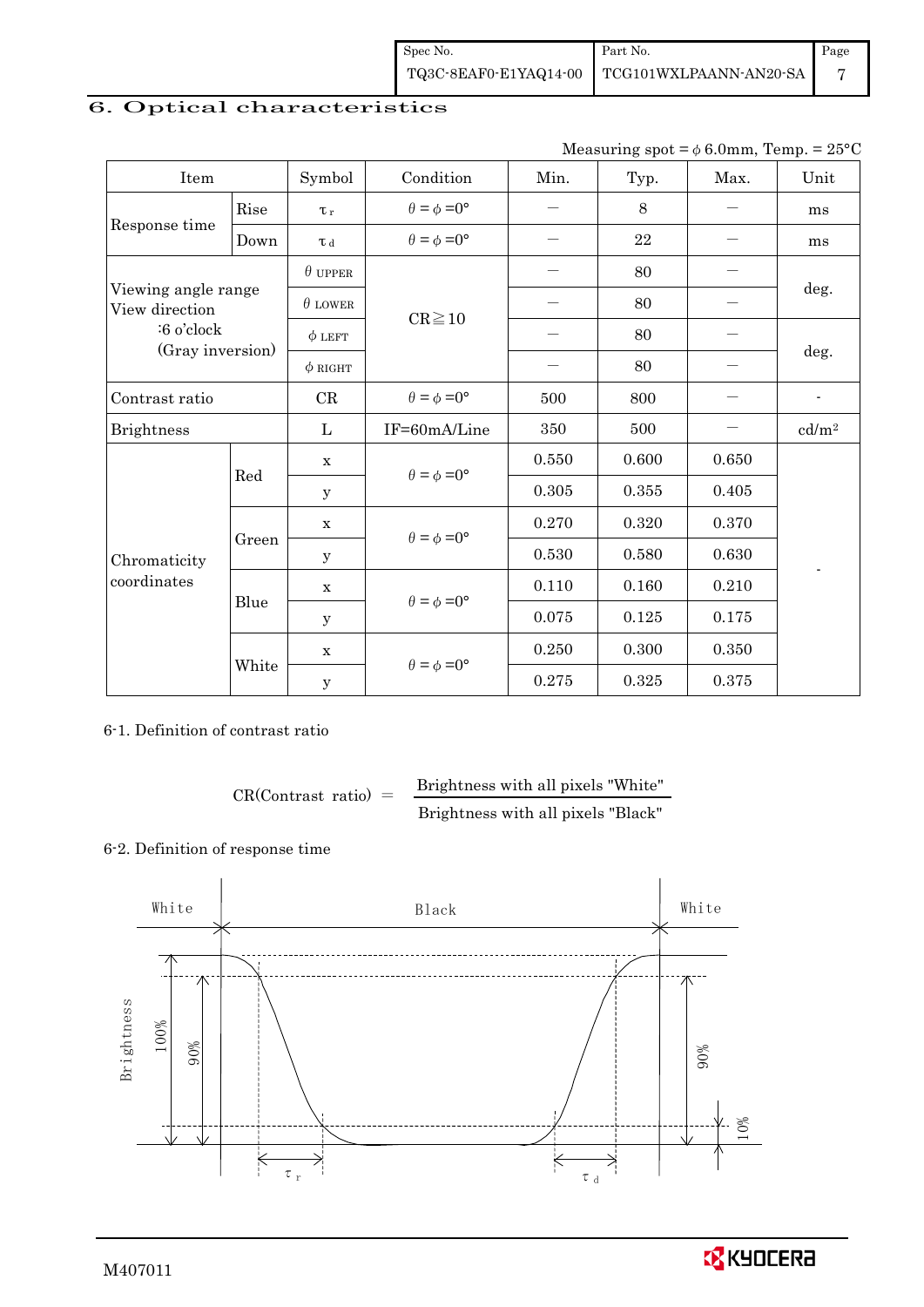| Spec No.              | Part No.               | Page |
|-----------------------|------------------------|------|
| TQ3C-8EAF0-E1YAQ14-00 | TCG101WXLPAANN-AN20-SA |      |

# 6. Optical characteristics

| Measuring spot = $\phi$ 6.0mm, Temp. = 25°C |
|---------------------------------------------|
|---------------------------------------------|

| Item                                  |       | Symbol         | Condition                   | Min.  | Typ.  | Max.  | Unit              |
|---------------------------------------|-------|----------------|-----------------------------|-------|-------|-------|-------------------|
|                                       | Rise  | $\tau_r$       | $\theta = \phi = 0^{\circ}$ | —     | 8     |       | ms                |
| Response time                         | Down  | T d            | $\theta = \phi = 0^{\circ}$ |       | 22    |       | ms                |
|                                       |       | $\theta$ upper |                             |       | 80    |       |                   |
| Viewing angle range<br>View direction |       | $\theta$ LOWER |                             |       | 80    |       | deg.              |
| :6 o'clock<br>(Gray inversion)        |       | $\phi$ LEFT    | $CR \ge 10$                 |       | 80    |       |                   |
|                                       |       | $\phi$ RIGHT   |                             |       | 80    |       | deg.              |
| Contrast ratio                        |       | CR             | $\theta = \phi = 0^{\circ}$ | 500   | 800   |       | $\blacksquare$    |
| <b>Brightness</b>                     |       | L              | IF=60mA/Line                | 350   | 500   |       | cd/m <sup>2</sup> |
|                                       | Red   | $\mathbf X$    | $\theta = \phi = 0^{\circ}$ | 0.550 | 0.600 | 0.650 |                   |
|                                       |       | $\mathbf y$    |                             | 0.305 | 0.355 | 0.405 |                   |
|                                       |       | $\mathbf X$    | $\theta = \phi = 0^{\circ}$ | 0.270 | 0.320 | 0.370 |                   |
| Chromaticity                          | Green | $\mathbf y$    |                             | 0.530 | 0.580 | 0.630 |                   |
| coordinates                           |       | $\mathbf X$    | $\theta = \phi = 0^{\circ}$ | 0.110 | 0.160 | 0.210 |                   |
|                                       | Blue  | y              |                             | 0.075 | 0.125 | 0.175 |                   |
|                                       |       | X              | $\theta = \phi = 0^{\circ}$ | 0.250 | 0.300 | 0.350 |                   |
|                                       | White | y              |                             | 0.275 | 0.325 | 0.375 |                   |

## 6-1. Definition of contrast ratio

 $CR(Contrast ratio) =$  Brightness with all pixels "White" Brightness with all pixels "Black"

## 6-2. Definition of response time



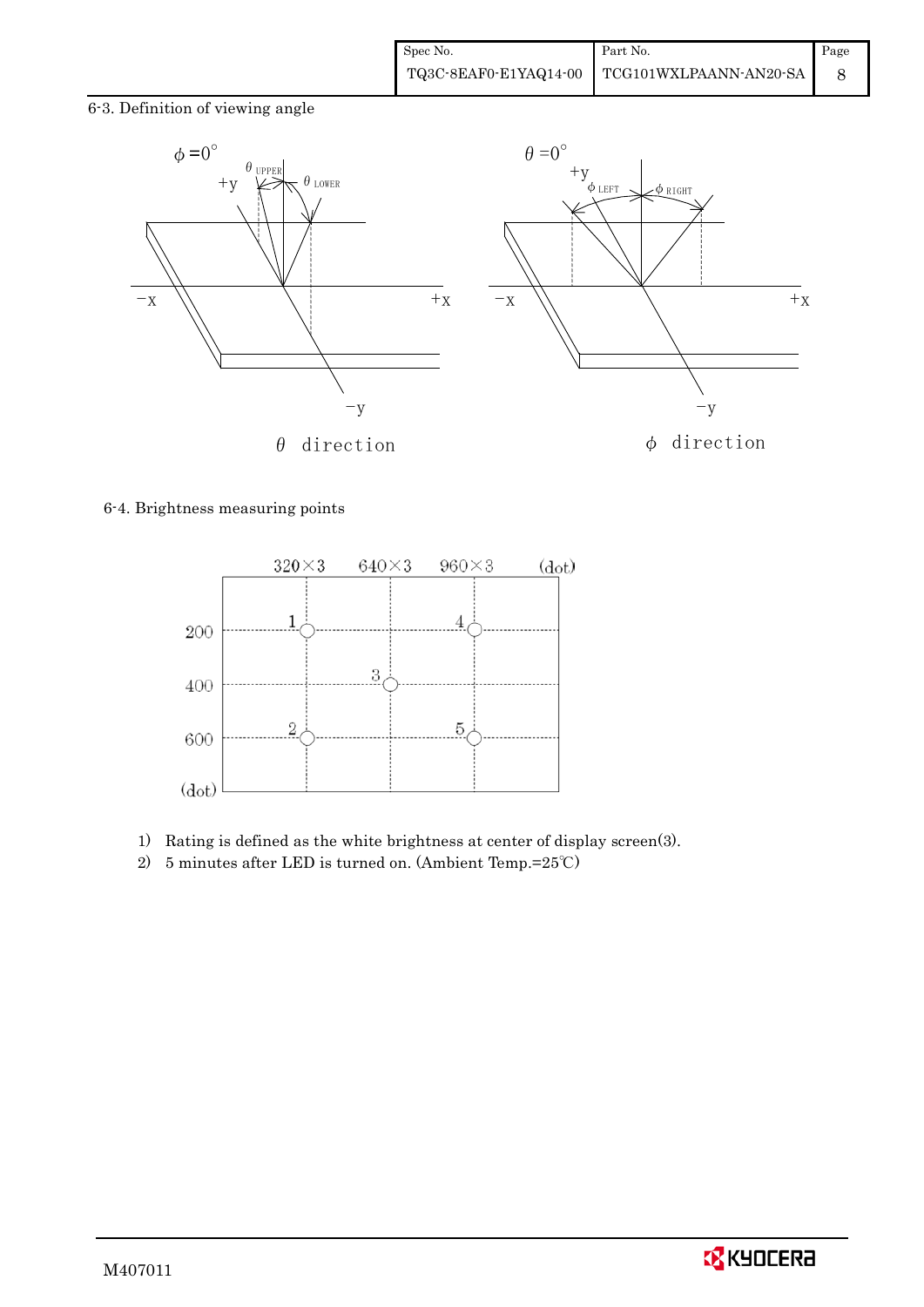6-3. Definition of viewing angle



#### 6-4. Brightness measuring points



- 1) Rating is defined as the white brightness at center of display screen(3).
- 2) 5 minutes after LED is turned on. (Ambient Temp.=25℃)

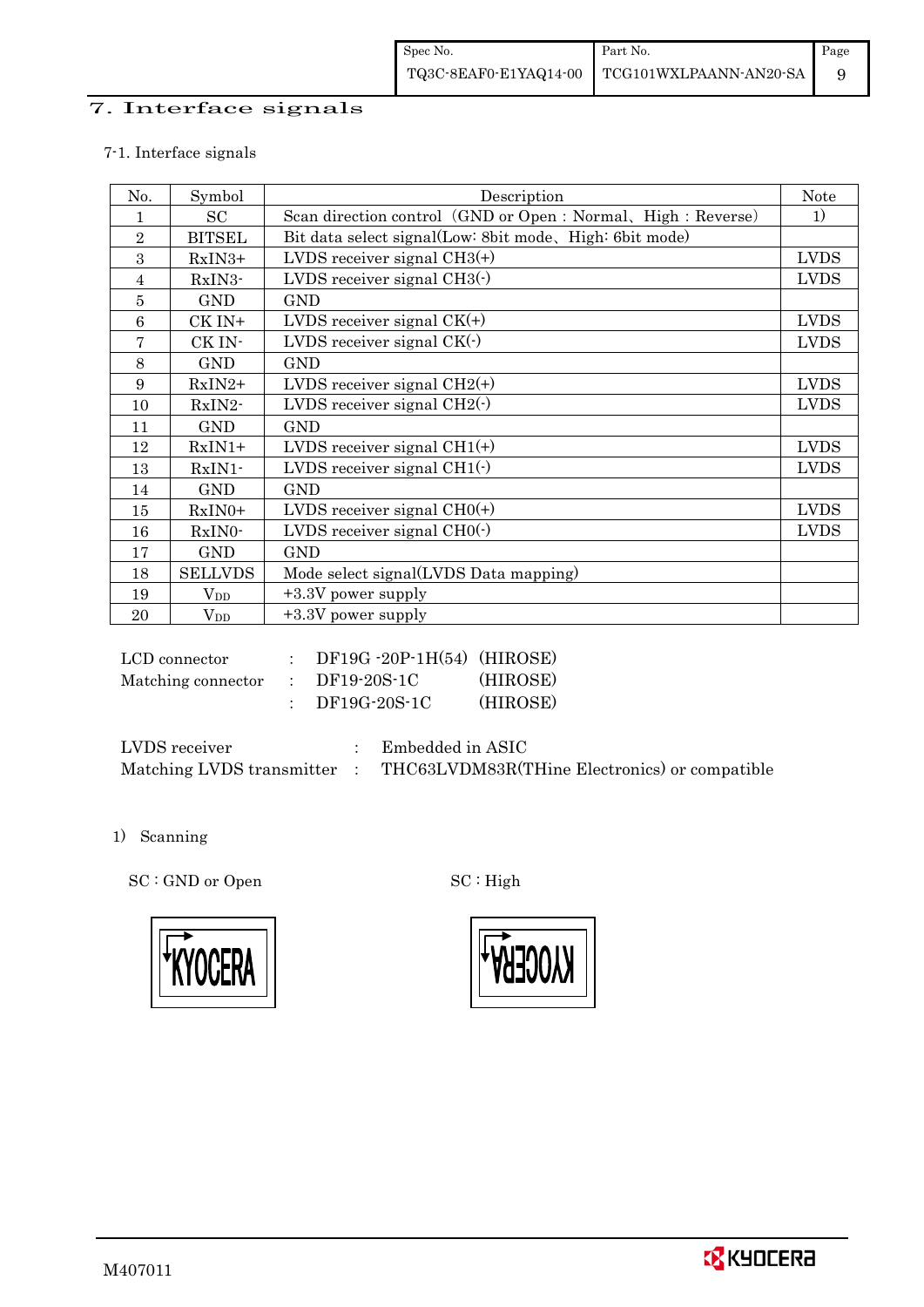## 7. Interface signals

### 7-1. Interface signals

| No.             | Symbol         | Description                                                   | <b>Note</b> |
|-----------------|----------------|---------------------------------------------------------------|-------------|
| 1               | SC             | Scan direction control (GND or Open : Normal, High : Reverse) | 1)          |
| $\sqrt{2}$      | <b>BITSEL</b>  | Bit data select signal(Low: 8bit mode, High: 6bit mode)       |             |
| 3               | $RxIN3+$       | LVDS receiver signal $CH3(+)$                                 | <b>LVDS</b> |
| 4               | RxIN3-         | LVDS receiver signal $CH3()$                                  | <b>LVDS</b> |
| 5               | <b>GND</b>     | <b>GND</b>                                                    |             |
| $6\phantom{1}6$ | CK IN+         | LVDS receiver signal $CK(+)$                                  | <b>LVDS</b> |
| 7               | CK IN-         | LVDS receiver signal $CK(\cdot)$                              | <b>LVDS</b> |
| 8               | <b>GND</b>     | <b>GND</b>                                                    |             |
| 9               | RxIN2+         | LVDS receiver signal $CH2(+)$                                 | <b>LVDS</b> |
| 10              | RxIN2-         | LVDS receiver signal $CH2(\cdot)$                             | <b>LVDS</b> |
| 11              | <b>GND</b>     | <b>GND</b>                                                    |             |
| 12              | $RxIN1+$       | LVDS receiver signal $CH1(+)$                                 | <b>LVDS</b> |
| 13              | $RxIN1$ -      | LVDS receiver signal $CH1(\cdot)$                             | <b>LVDS</b> |
| 14              | <b>GND</b>     | <b>GND</b>                                                    |             |
| 15              | RxIN0+         | LVDS receiver signal $CHO(+)$                                 | <b>LVDS</b> |
| 16              | RxIN0-         | LVDS receiver signal $CHO(·)$                                 | <b>LVDS</b> |
| 17              | <b>GND</b>     | <b>GND</b>                                                    |             |
| 18              | <b>SELLVDS</b> | Mode select signal(LVDS Data mapping)                         |             |
| 19              | $\rm V_{DD}$   | $+3.3V$ power supply                                          |             |
| 20              | $V_{DD}$       | $+3.3V$ power supply                                          |             |

| LCD connector      | $DF19G - 20P - 1H(54)$ (HIROSE) |          |
|--------------------|---------------------------------|----------|
| Matching connector | DF19-20S-1C                     | (HIROSE) |
|                    | DF19G-20S-1C                    | (HIROSE) |

| LVDS receiver             | Embedded in ASIC                              |
|---------------------------|-----------------------------------------------|
| Matching LVDS transmitter | THC63LVDM83R(THine Electronics) or compatible |

1) Scanning

SC : GND or Open SC : High





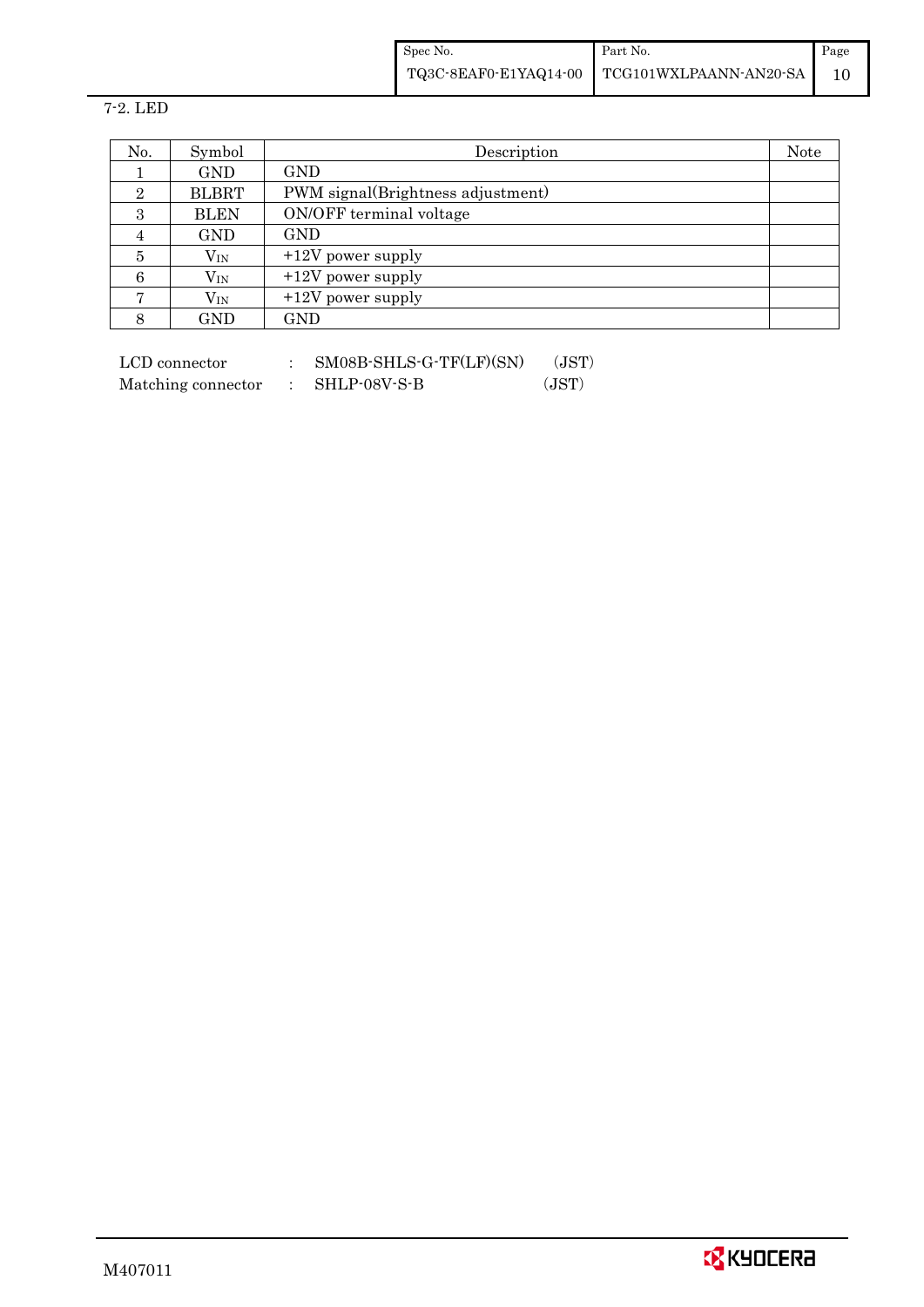| Spec No. | Part No.                                     | Page |
|----------|----------------------------------------------|------|
|          | TQ3C-8EAF0-E1YAQ14-00 TCG101WXLPAANN-AN20-SA |      |

7-2. LED

| No.            | Symbol       | Description                       | Note |
|----------------|--------------|-----------------------------------|------|
|                | <b>GND</b>   | <b>GND</b>                        |      |
| $\overline{2}$ | <b>BLBRT</b> | PWM signal(Brightness adjustment) |      |
| 3              | <b>BLEN</b>  | ON/OFF terminal voltage           |      |
|                | <b>GND</b>   | <b>GND</b>                        |      |
| 5              | $\rm V_{IN}$ | $+12V$ power supply               |      |
| 6              | $\rm V_{IN}$ | $+12V$ power supply               |      |
|                | $\rm V_{IN}$ | $+12V$ power supply               |      |
| 8              | GND          | $\mathop{\rm GND}\nolimits$       |      |

 $\begin{tabular}{ll} LCD connector & : & SMO8B-SHLS-G-TF(LF)(SN) & (JST) \end{tabular}$ Matching connector : SHLP-08V-S-B (JST)

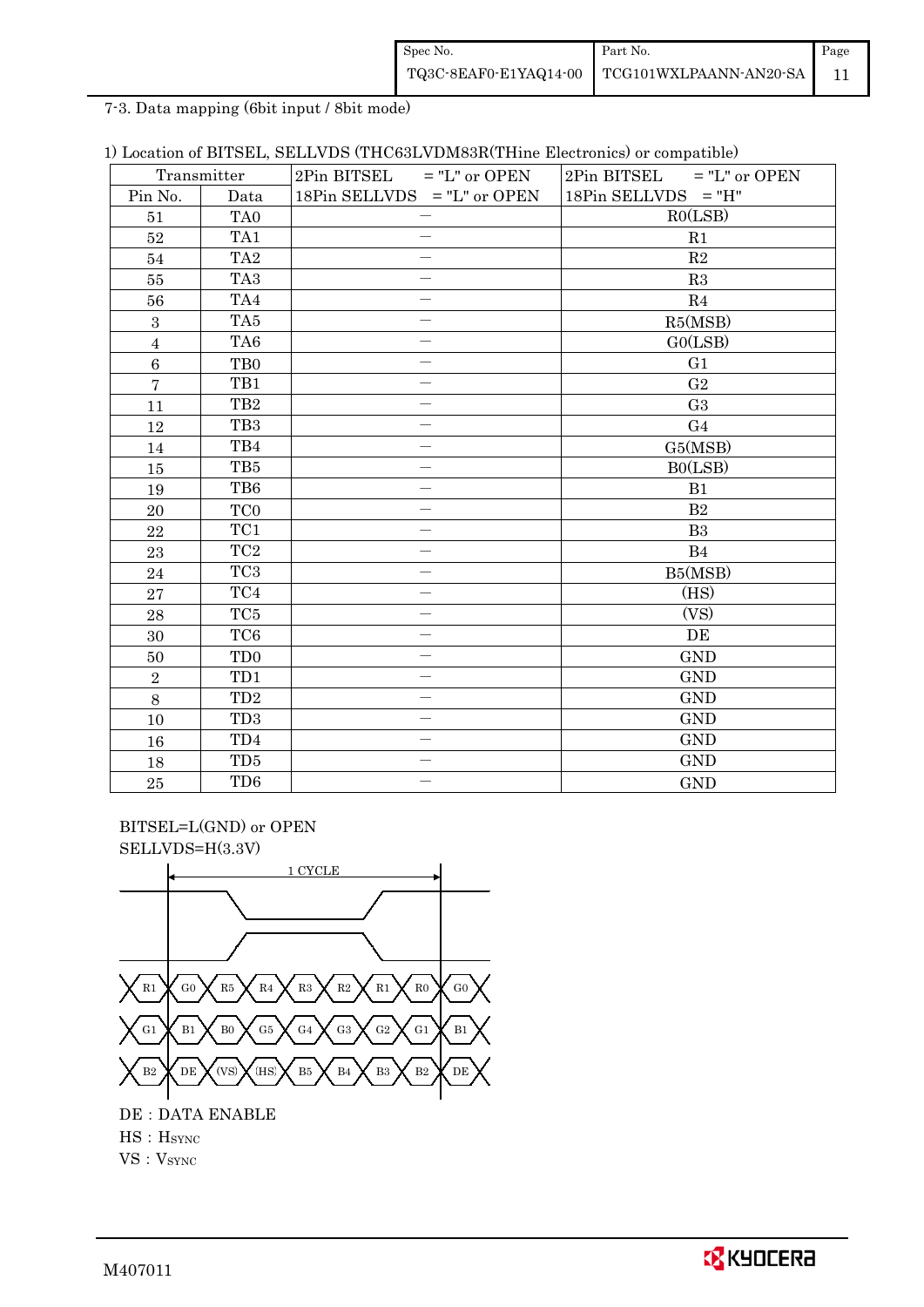| Spec No.              | Part No.                      | Page |
|-----------------------|-------------------------------|------|
| TQ3C-8EAF0-E1YAQ14-00 | <b>TCG101WXLPAANN-AN20-SA</b> |      |

7-3. Data mapping (6bit input / 8bit mode)

|  |  |  |  | 1) Location of BITSEL, SELLVDS (THC63LVDM83R(THine Electronics) or compatible) |  |  |
|--|--|--|--|--------------------------------------------------------------------------------|--|--|
|--|--|--|--|--------------------------------------------------------------------------------|--|--|

| Transmitter      |                 | $2Pin$ BITSEL = "L" or OPEN | $2Pin$ BITSEL = "L" or OPEN |  |  |  |
|------------------|-----------------|-----------------------------|-----------------------------|--|--|--|
| Pin No.          | Data            | 18Pin SELLVDS = "L" or OPEN | $18Pin$ SELLVDS = "H"       |  |  |  |
| 51               | TA <sub>0</sub> |                             | RO(LSB)                     |  |  |  |
| $52\,$           | TA1             |                             | R1                          |  |  |  |
| 54               | TA <sub>2</sub> |                             | R2                          |  |  |  |
| $55\,$           | TA <sub>3</sub> |                             | R3                          |  |  |  |
| 56               | TA4             |                             | R <sub>4</sub>              |  |  |  |
| $\boldsymbol{3}$ | TA <sub>5</sub> |                             | R5(MSB)                     |  |  |  |
| $\overline{4}$   | TA <sub>6</sub> |                             | GO(LSB)                     |  |  |  |
| $6\phantom{a}$   | T <sub>B0</sub> |                             | G <sub>1</sub>              |  |  |  |
| $\overline{7}$   | TB1             |                             | G <sub>2</sub>              |  |  |  |
| 11               | TB <sub>2</sub> |                             | G <sub>3</sub>              |  |  |  |
| 12               | TB <sub>3</sub> |                             | G <sub>4</sub>              |  |  |  |
| 14               | TB4             |                             | G5(MSB)                     |  |  |  |
| 15               | TB5             | $\overline{\phantom{0}}$    | B0(LSB)                     |  |  |  |
| 19               | TB6             |                             | B1                          |  |  |  |
| $20\,$           | TC <sub>0</sub> | —                           | B <sub>2</sub>              |  |  |  |
| 22               | TC1             |                             | B <sub>3</sub>              |  |  |  |
| 23               | TC <sub>2</sub> | $\overline{\phantom{0}}$    | B <sub>4</sub>              |  |  |  |
| 24               | TC <sub>3</sub> |                             | B5(MSB)                     |  |  |  |
| $\bf 27$         | TC4             |                             | (HS)                        |  |  |  |
| 28               | TC5             | $\overline{\phantom{0}}$    | (VS)                        |  |  |  |
| 30               | TC <sub>6</sub> | $\overline{\phantom{0}}$    | DE                          |  |  |  |
| 50               | TD <sub>0</sub> | $\overline{\phantom{0}}$    | <b>GND</b>                  |  |  |  |
| $\overline{2}$   | TD1             |                             | <b>GND</b>                  |  |  |  |
| 8                | TD <sub>2</sub> |                             | <b>GND</b>                  |  |  |  |
| 10               | TD <sub>3</sub> | $\overline{\phantom{0}}$    | <b>GND</b>                  |  |  |  |
| 16               | TD4             | $\overline{\phantom{0}}$    | <b>GND</b>                  |  |  |  |
| 18               | TD <sub>5</sub> | $\overline{\phantom{0}}$    | <b>GND</b>                  |  |  |  |
| 25               | TD <sub>6</sub> |                             | <b>GND</b>                  |  |  |  |

 BITSEL=L(GND) or OPEN SELLVDS=H(3.3V)



HS:HSYNC

 $\mathbf{VS}:\mathbf{V}_{\text{SYNC}}$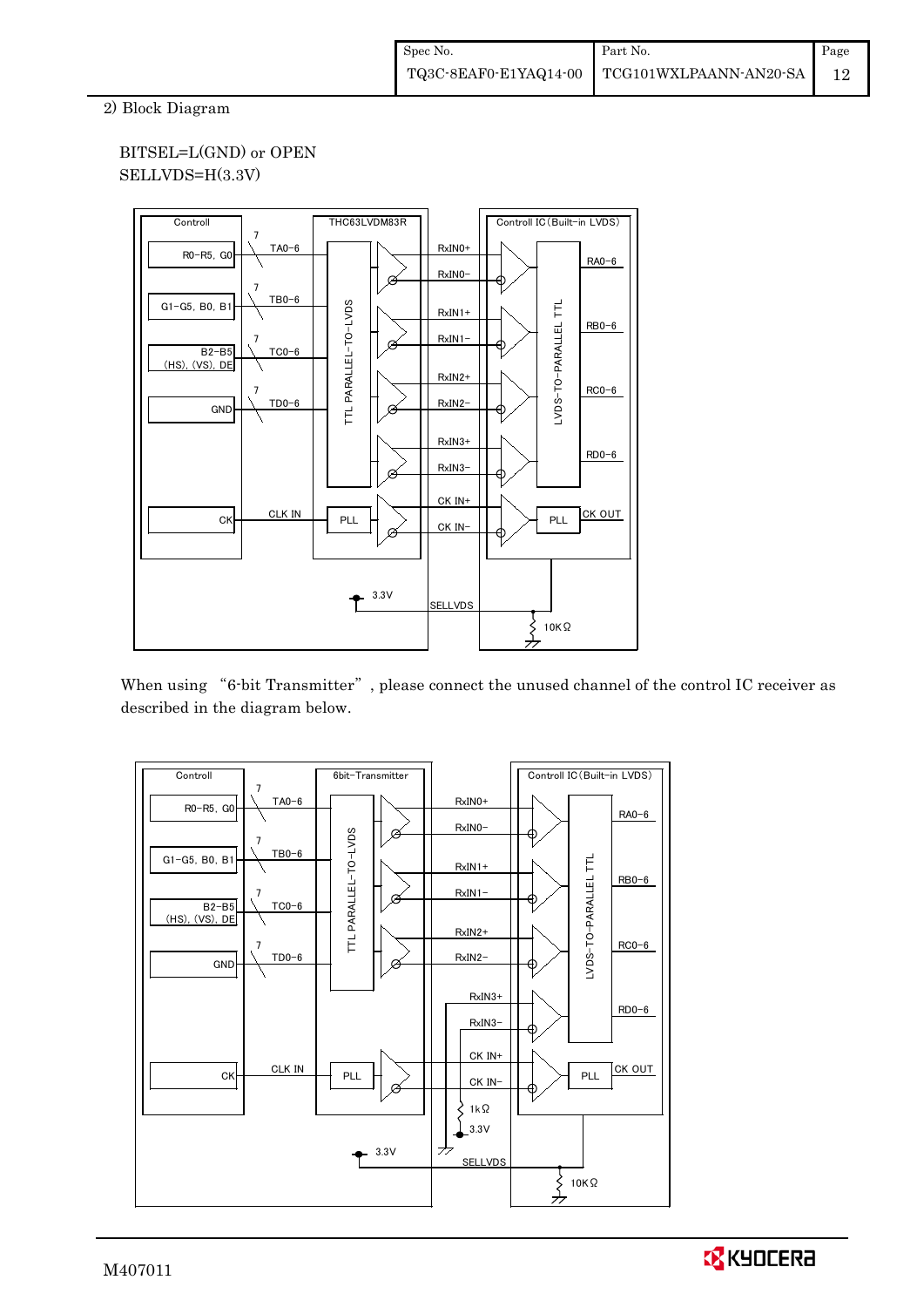2) Block Diagram

## BITSEL=L(GND) or OPEN SELLVDS=H(3.3V)



When using "6-bit Transmitter", please connect the unused channel of the control IC receiver as described in the diagram below.



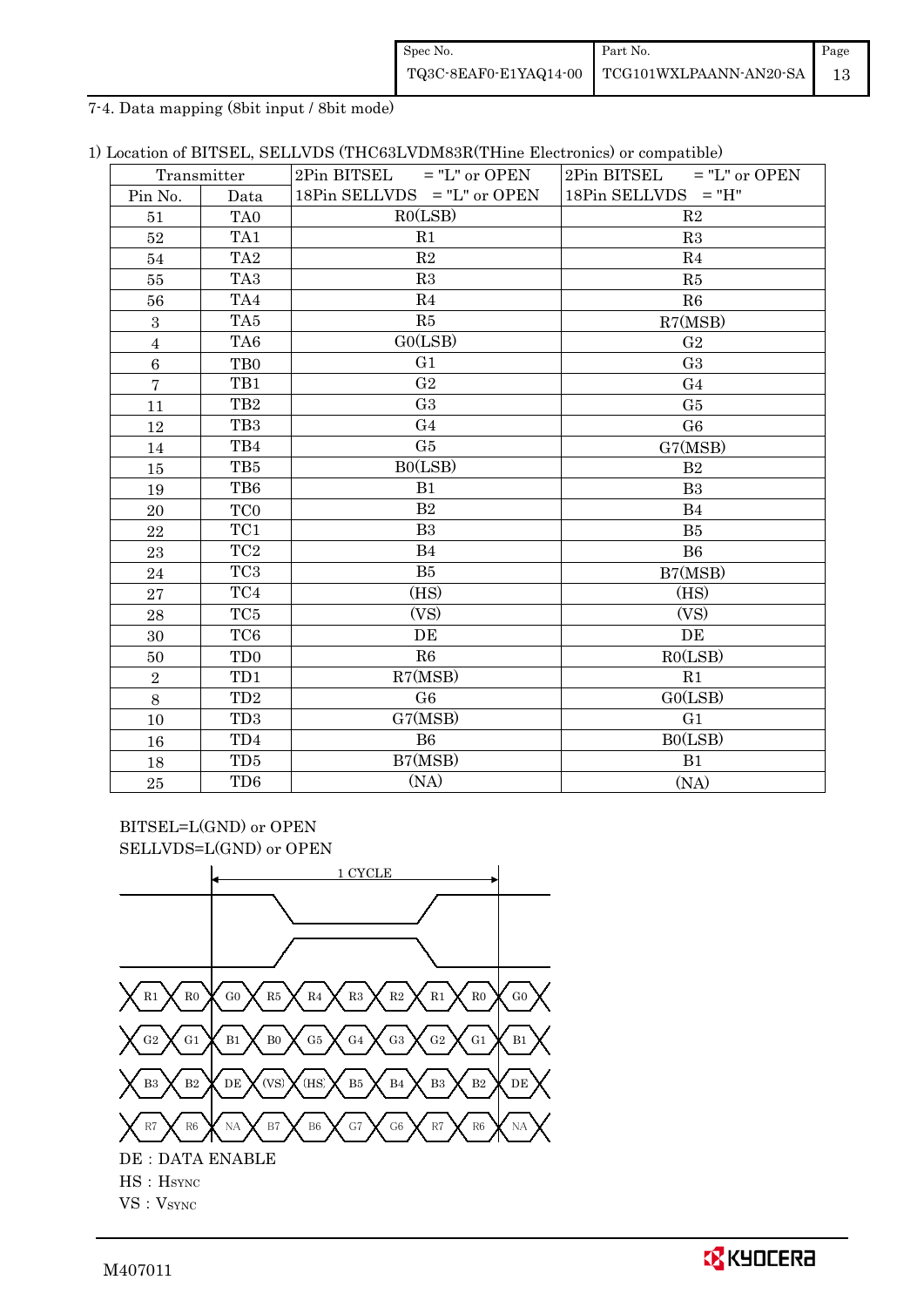| Spec No.              | Part No.                      | Page |
|-----------------------|-------------------------------|------|
| TQ3C-8EAF0-E1YAQ14-00 | <b>TCG101WXLPAANN-AN20-SA</b> |      |

7-4. Data mapping (8bit input / 8bit mode)

|  |  |  |  |  |  |  | 1) Location of BITSEL, SELLVDS (THC63LVDM83R(THine Electronics) or compatible) |
|--|--|--|--|--|--|--|--------------------------------------------------------------------------------|
|--|--|--|--|--|--|--|--------------------------------------------------------------------------------|

| Transmitter      |                 | $2\text{Pin BITSEL}$ = "L" or OPEN | $2Pin$ BITSEL = "L" or OPEN |  |  |
|------------------|-----------------|------------------------------------|-----------------------------|--|--|
| Pin No.          | Data            | 18Pin SELLVDS $=$ "L" or OPEN      | $18Pin$ SELLVDS = "H"       |  |  |
| 51               | TA <sub>0</sub> | RO(LSB)                            | R <sub>2</sub>              |  |  |
| 52               | TA1             | R1                                 | R3                          |  |  |
| 54               | TA <sub>2</sub> | R2                                 | R <sub>4</sub>              |  |  |
| $55\,$           | TA <sub>3</sub> | R3                                 | R5                          |  |  |
| 56               | TA4             | R <sub>4</sub>                     | R6                          |  |  |
| $\boldsymbol{3}$ | TA5             | R5                                 | R7(MSB)                     |  |  |
| $\overline{4}$   | TA6             | GO(LSB)                            | G <sub>2</sub>              |  |  |
| $\,6\,$          | T <sub>B0</sub> | G <sub>1</sub>                     | G <sub>3</sub>              |  |  |
| $\overline{7}$   | TB1             | G <sub>2</sub>                     | G <sub>4</sub>              |  |  |
| 11               | TB <sub>2</sub> | G <sub>3</sub>                     | G <sub>5</sub>              |  |  |
| 12               | TB <sub>3</sub> | G <sub>4</sub>                     | G <sub>6</sub>              |  |  |
| 14               | TB4             | G5                                 | G7(MSB)                     |  |  |
| 15               | TB5             | BO(LSB)                            | B <sub>2</sub>              |  |  |
| 19               | TB6             | B1                                 | B <sub>3</sub>              |  |  |
| 20               | TC <sub>0</sub> | B <sub>2</sub>                     | B <sub>4</sub>              |  |  |
| 22               | TC1             | B <sub>3</sub>                     | B <sub>5</sub>              |  |  |
| 23               | TC <sub>2</sub> | B <sub>4</sub>                     | B <sub>6</sub>              |  |  |
| 24               | TC <sub>3</sub> | B5                                 | B7(MSB)                     |  |  |
| 27               | TC4             | (HS)                               | (HS)                        |  |  |
| 28               | TC <sub>5</sub> | (VS)                               | (VS)                        |  |  |
| 30               | TC <sub>6</sub> | DE                                 | DE                          |  |  |
| 50               | TD <sub>0</sub> | R6                                 | RO(LSB)                     |  |  |
| $\sqrt{2}$       | TD1             | R7(MSB)                            | R <sub>1</sub>              |  |  |
| 8                | TD <sub>2</sub> | G <sub>6</sub>                     | GO(LSB)                     |  |  |
| 10               | TD <sub>3</sub> | G7(MSB)                            | G <sub>1</sub>              |  |  |
| 16               | TD <sub>4</sub> | B6                                 | BO(LSB)                     |  |  |
| 18               | TD <sub>5</sub> | B7(MSB)                            | B1                          |  |  |
| 25               | TD <sub>6</sub> | (NA)                               | (NA)                        |  |  |

BITSEL=L(GND) or OPEN SELLVDS=L(GND) or OPEN

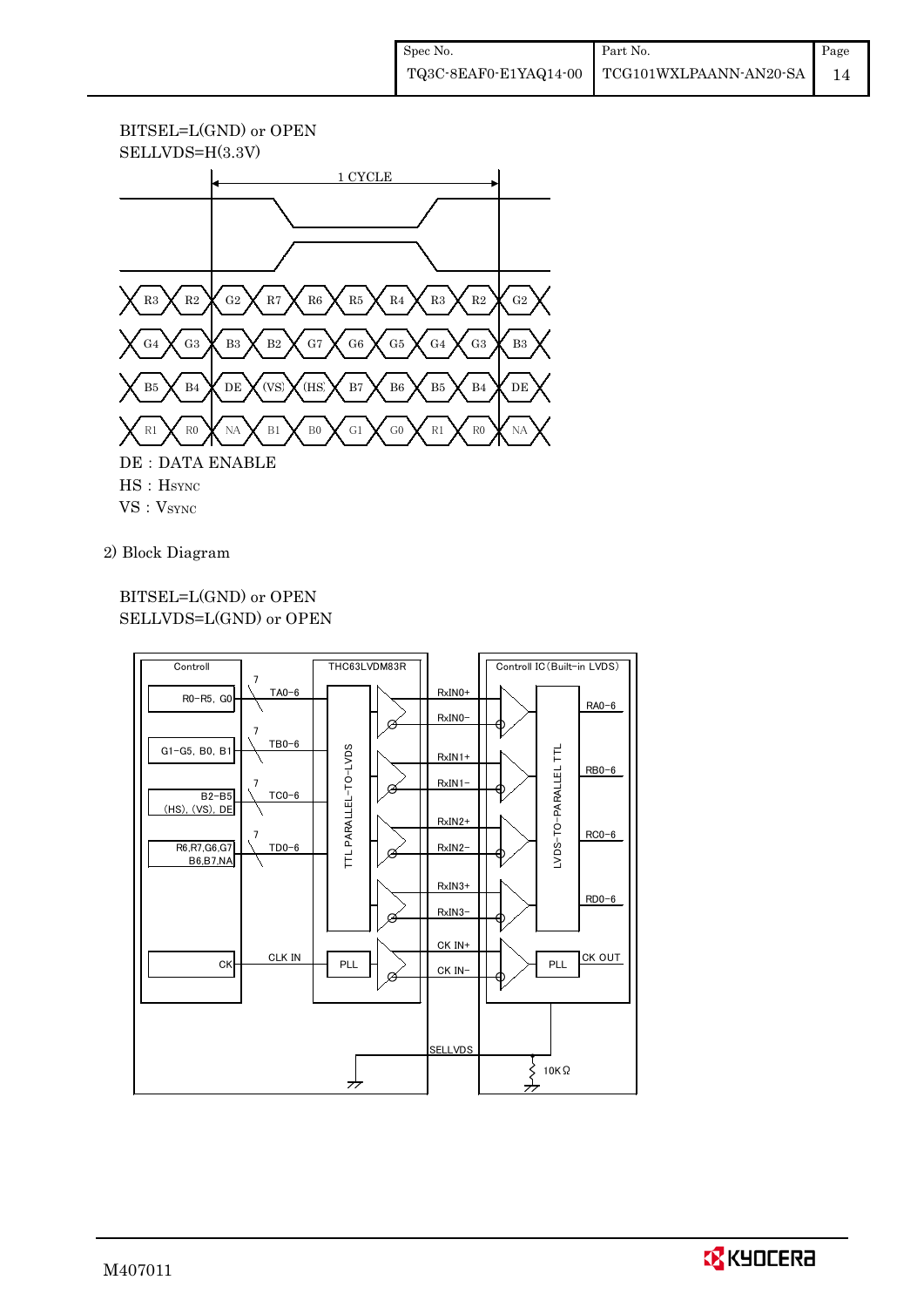# BITSEL=L(GND) or OPEN



### 2) Block Diagram

## BITSEL=L(GND) or OPEN SELLVDS=L(GND) or OPEN



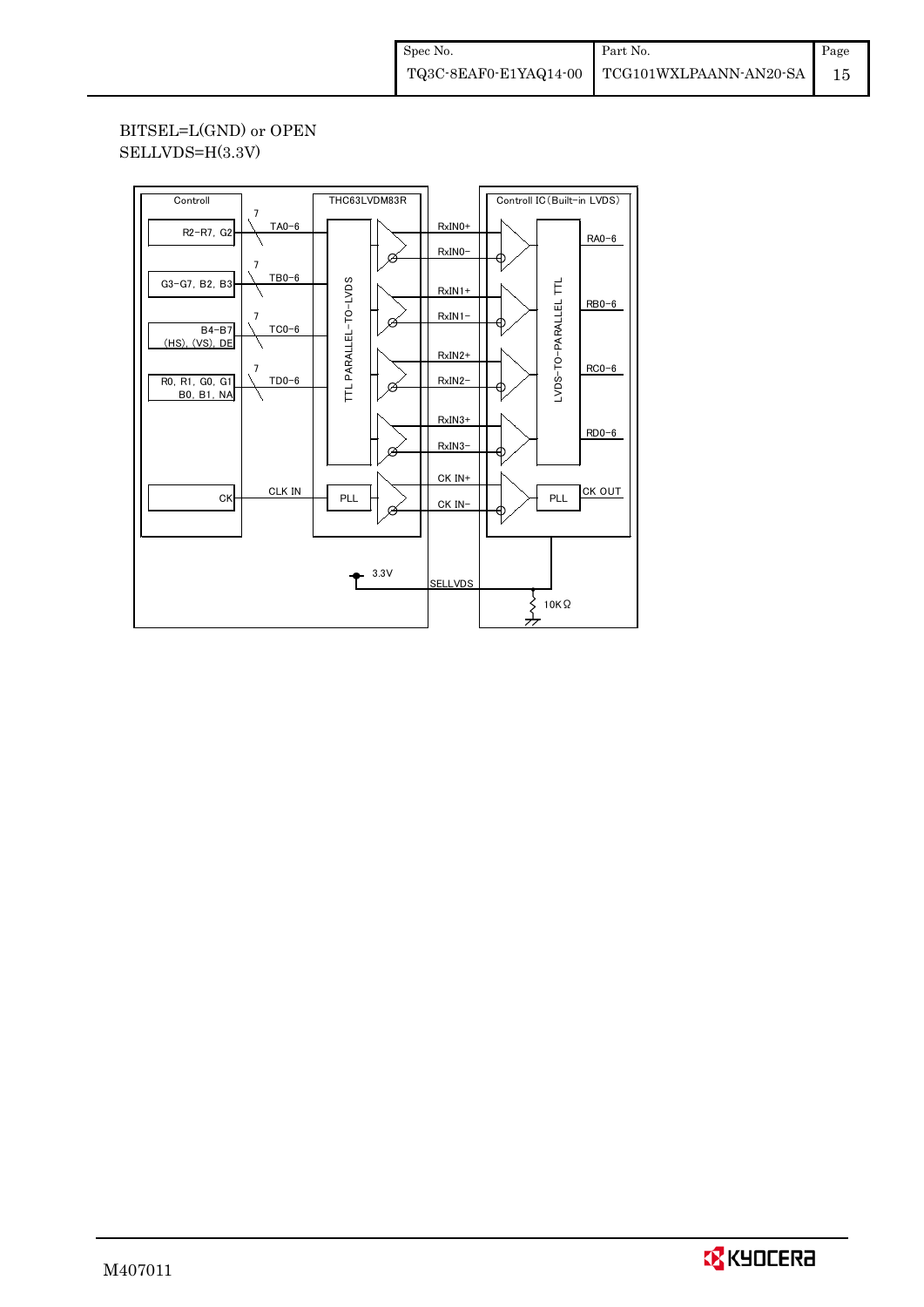BITSEL=L(GND) or OPEN SELLVDS=H(3.3V)

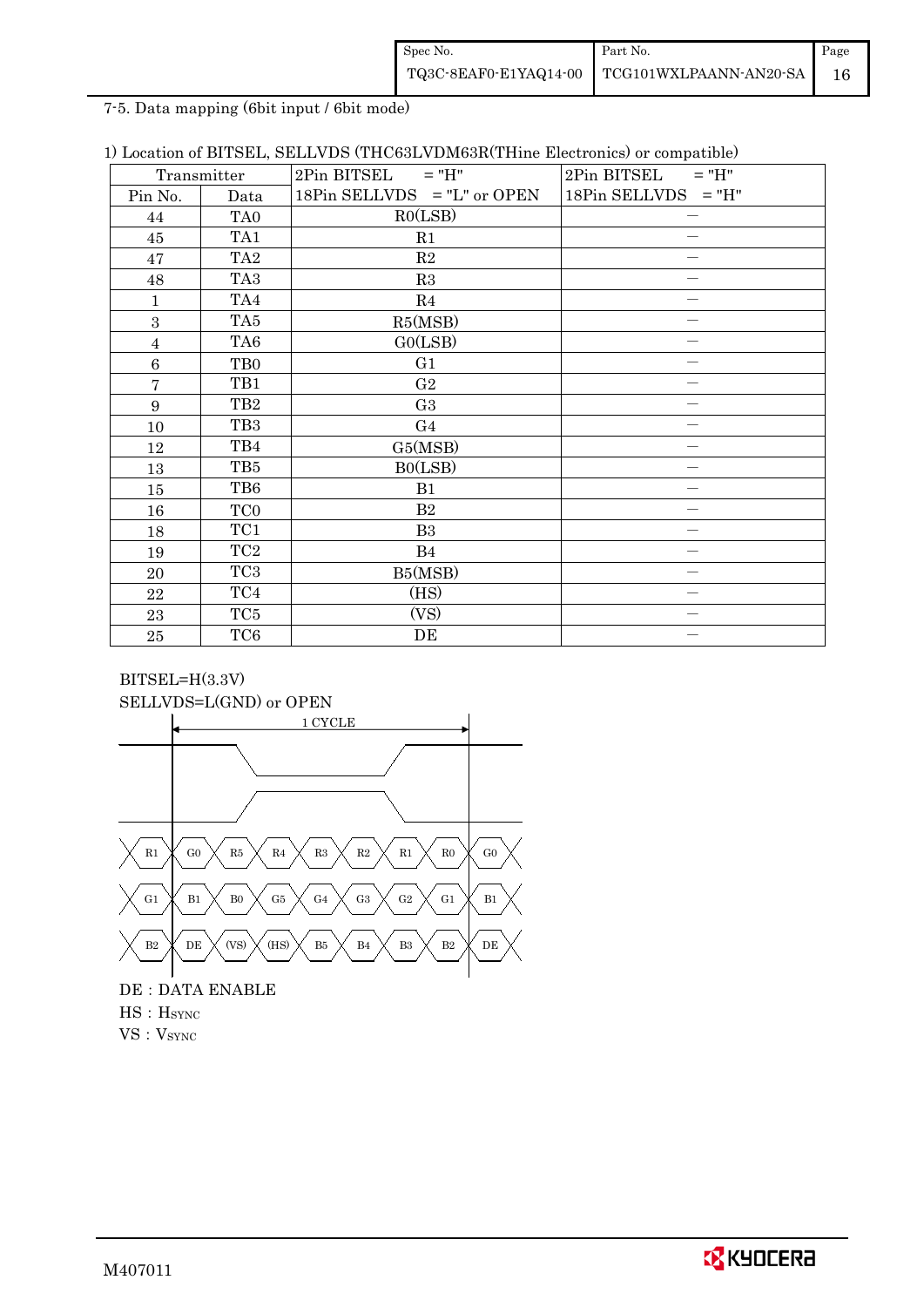| Spec No.              | Part No.               | Page |
|-----------------------|------------------------|------|
| TQ3C-8EAF0-E1YAQ14-00 | TCG101WXLPAANN-AN20-SA |      |

7-5. Data mapping (6bit input / 6bit mode)

|  |  |  |  |  |  |  |  | 1) Location of BITSEL, SELLVDS (THC63LVDM63R(THine Electronics) or compatible) |
|--|--|--|--|--|--|--|--|--------------------------------------------------------------------------------|
|--|--|--|--|--|--|--|--|--------------------------------------------------------------------------------|

| Transmitter    |                 | $2Pin$ BITSEL = "H"           | 2Pin BITSEL<br>$=$ "H" |
|----------------|-----------------|-------------------------------|------------------------|
| Pin No.        | Data            | 18Pin SELLVDS $=$ "L" or OPEN | $18Pin$ SELLVDS = "H"  |
| 44             | TA0             | RO(LSB)                       |                        |
| 45             | TA1             | R1                            |                        |
| 47             | TA <sub>2</sub> | R2                            |                        |
| 48             | TA <sub>3</sub> | R3                            |                        |
| 1              | TA4             | R4                            |                        |
| 3              | TA <sub>5</sub> | R5(MSB)                       |                        |
| $\overline{4}$ | TA <sub>6</sub> | GO(LSB)                       |                        |
| $\,6$          | T <sub>B0</sub> | G1                            |                        |
| $\overline{7}$ | TB1             | G <sub>2</sub>                |                        |
| 9              | TB <sub>2</sub> | G <sub>3</sub>                |                        |
| 10             | TB <sub>3</sub> | G <sub>4</sub>                |                        |
| 12             | TB4             | G5(MSB)                       |                        |
| 13             | TB5             | B0(LSB)                       |                        |
| 15             | TB6             | B1                            |                        |
| 16             | TC <sub>0</sub> | B <sub>2</sub>                |                        |
| 18             | TC1             | B <sub>3</sub>                |                        |
| 19             | $\rm TC2$       | <b>B</b> 4                    |                        |
| 20             | TC <sub>3</sub> | B5(MSB)                       |                        |
| 22             | TC4             | (HS)                          |                        |
| 23             | TC <sub>5</sub> | (VS)                          |                        |
| $\bf 25$       | TC <sub>6</sub> | DE                            |                        |

## BITSEL=H(3.3V) SELLVDS=L(GND) or OPEN



# DE : DATA ENABLE HS: H<sub>SYNC</sub> VS: V<sub>SYNC</sub>

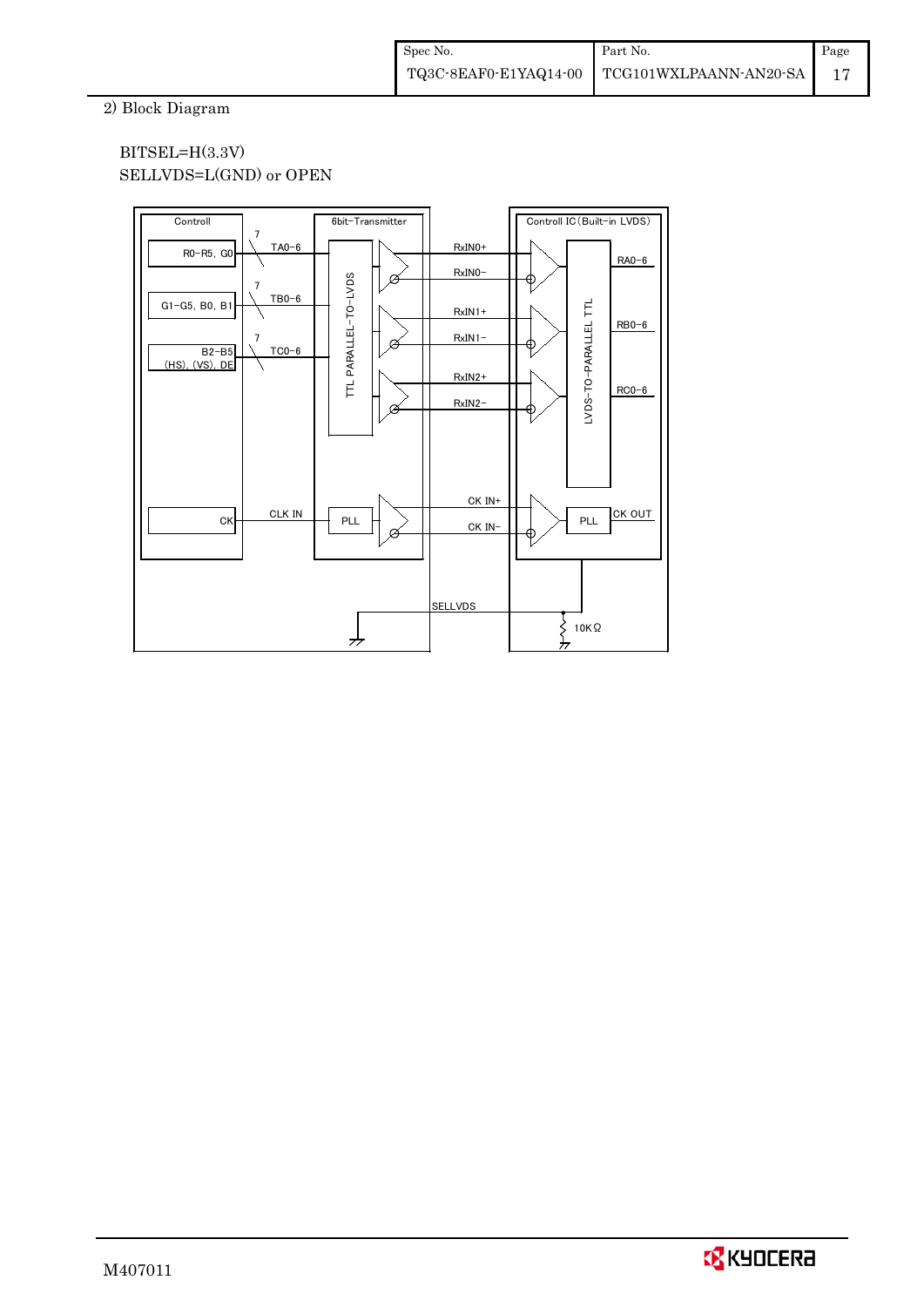2) Block Diagram

## BITSEL=H(3.3V) SELLVDS=L(GND) or OPEN



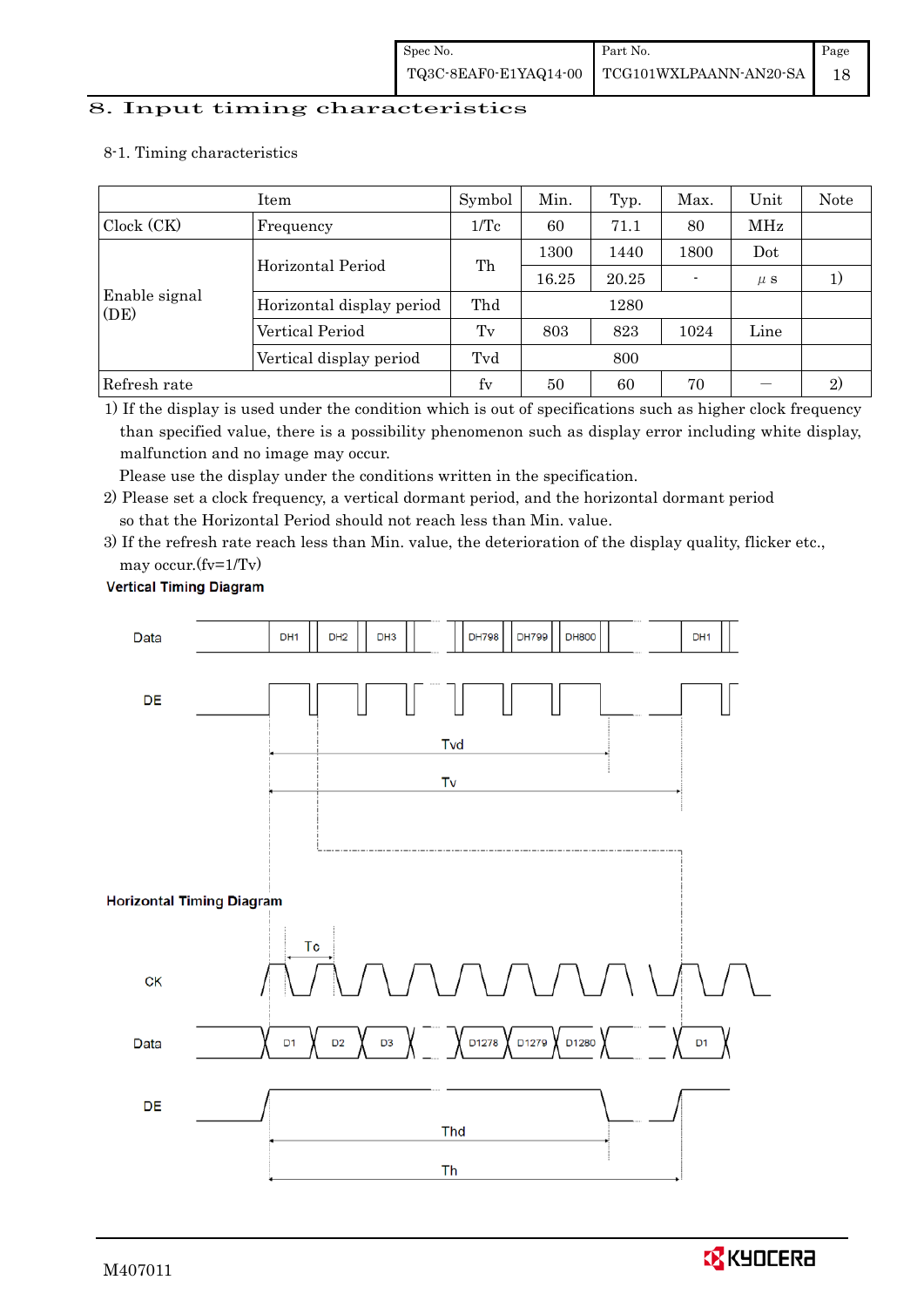#### 8. Input timing characteristics

#### 8-1. Timing characteristics

|                       | Symbol                    | Min. | Typ.  | Max.  | Unit | Note           |    |
|-----------------------|---------------------------|------|-------|-------|------|----------------|----|
| Clock (CK)            | Frequency                 |      | 60    | 71.1  | 80   | MHz            |    |
|                       | Horizontal Period         | Th   | 1300  | 1440  | 1800 | Dot            |    |
|                       |                           |      | 16.25 | 20.25 |      | $\mu$ S        | 1) |
| Enable signal<br>(DE) | Horizontal display period | Thd  |       | 1280  |      |                |    |
|                       | Vertical Period           | Tv   | 803   | 823   | 1024 | Line           |    |
|                       | Vertical display period   | Tvd  |       | 800   |      |                |    |
| Refresh rate          | $f_V$                     | 50   | 60    | 70    |      | $\mathfrak{D}$ |    |

1) If the display is used under the condition which is out of specifications such as higher clock frequency than specified value, there is a possibility phenomenon such as display error including white display, malfunction and no image may occur.

Please use the display under the conditions written in the specification.

2) Please set a clock frequency, a vertical dormant period, and the horizontal dormant period so that the Horizontal Period should not reach less than Min. value.

3) If the refresh rate reach less than Min. value, the deterioration of the display quality, flicker etc., may occur.(fv=1/Tv)

#### **Vertical Timing Diagram**



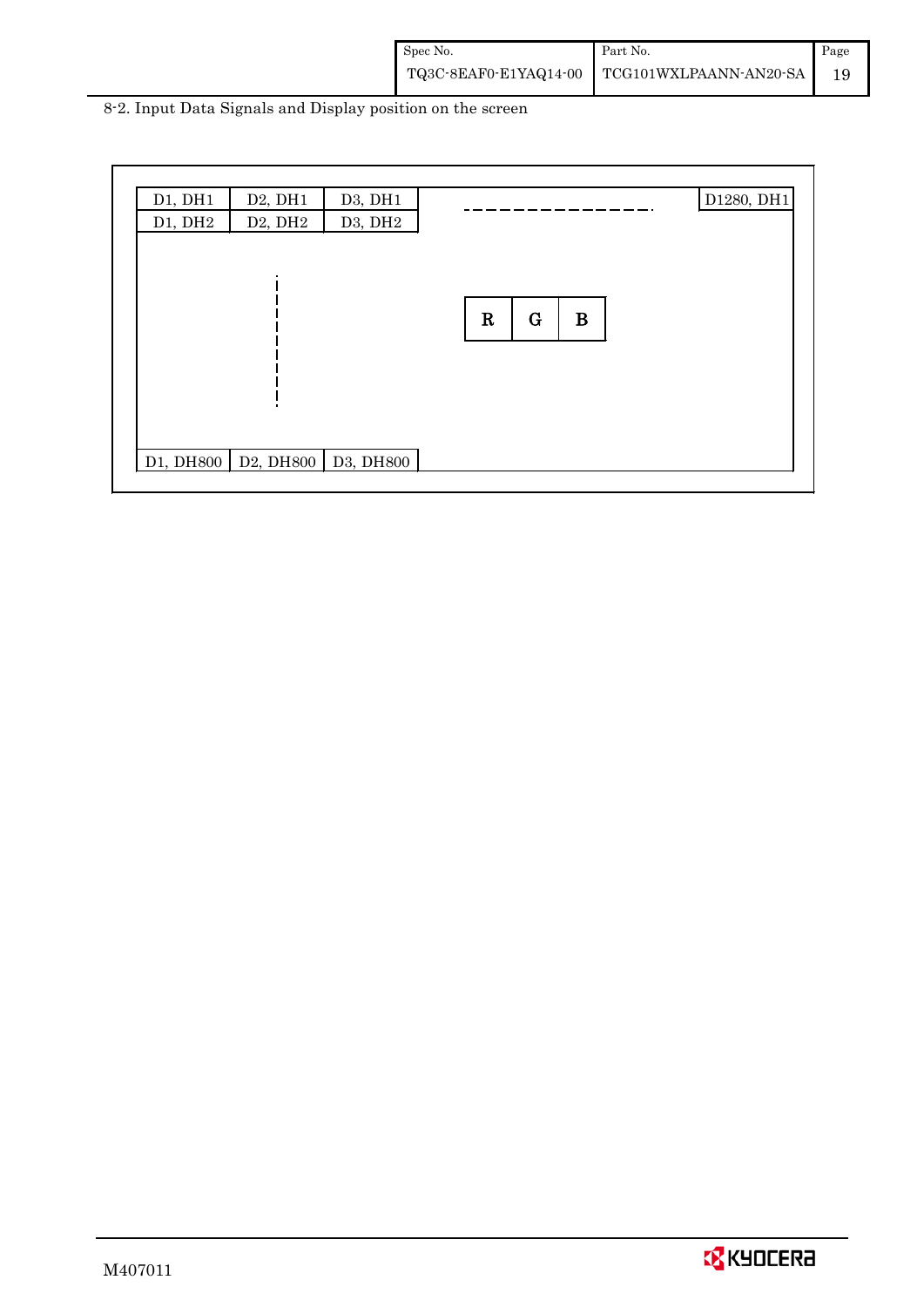| Spec No. | Part No.                                     | Page |
|----------|----------------------------------------------|------|
|          | TQ3C-8EAF0-E1YAQ14-00 TCG101WXLPAANN-AN20-SA |      |

8-2. Input Data Signals and Display position on the screen

| D1, DH1<br>D1, DH2 | D2, DH1<br>D <sub>2</sub> , DH <sub>2</sub>                                                                  | D3, DH1<br>D3, DH2 |                             | D1280, DH1 |
|--------------------|--------------------------------------------------------------------------------------------------------------|--------------------|-----------------------------|------------|
|                    |                                                                                                              |                    | $\mathbf R$<br>B<br>$\bf G$ |            |
|                    | D <sub>1</sub> , DH <sub>800</sub>   D <sub>2</sub> , DH <sub>800</sub>   D <sub>3</sub> , DH <sub>800</sub> |                    |                             |            |

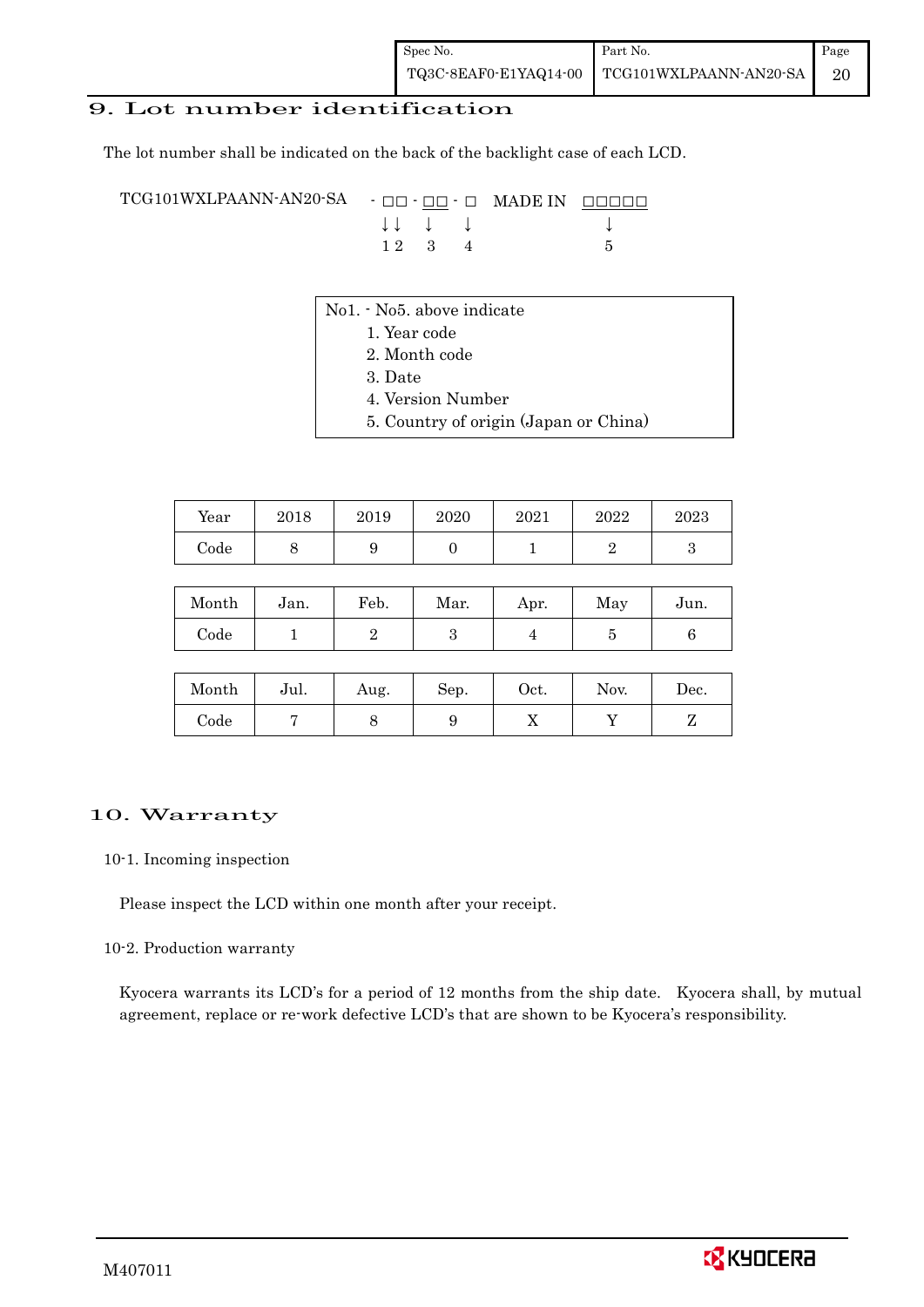## 9. Lot number identification

The lot number shall be indicated on the back of the backlight case of each LCD.

TCG101WXLPAANN-AN20-SA - □□ - □□ - □ MADE IN □□□□□ ↓ ↓ ↓ ↓ ↓  $1 2 3 4 5$ 

- No1. No5. above indicate
	- 1. Year code
		- 2. Month code
		- 3. Date
		- 4. Version Number
		- 5. Country of origin (Japan or China)

| Year | 2018 | 2019 | 2020 | 2021 | 2022 | 2023 |
|------|------|------|------|------|------|------|
| Code |      | ັ    |      |      |      |      |

| Month | Jan. | Feb. | Mar. | Apr. | May | Jun. |
|-------|------|------|------|------|-----|------|
| Code  |      |      |      |      |     |      |

| Month      | Jul. | Aug. | Sep. | $\rm Oct.$ | Nov. | $\operatorname{Dec.}$ |
|------------|------|------|------|------------|------|-----------------------|
| $\rm Code$ |      |      |      | 77         |      |                       |

#### 10. Warranty

10-1. Incoming inspection

Please inspect the LCD within one month after your receipt.

#### 10-2. Production warranty

 Kyocera warrants its LCD's for a period of 12 months from the ship date. Kyocera shall, by mutual agreement, replace or re-work defective LCD's that are shown to be Kyocera's responsibility.

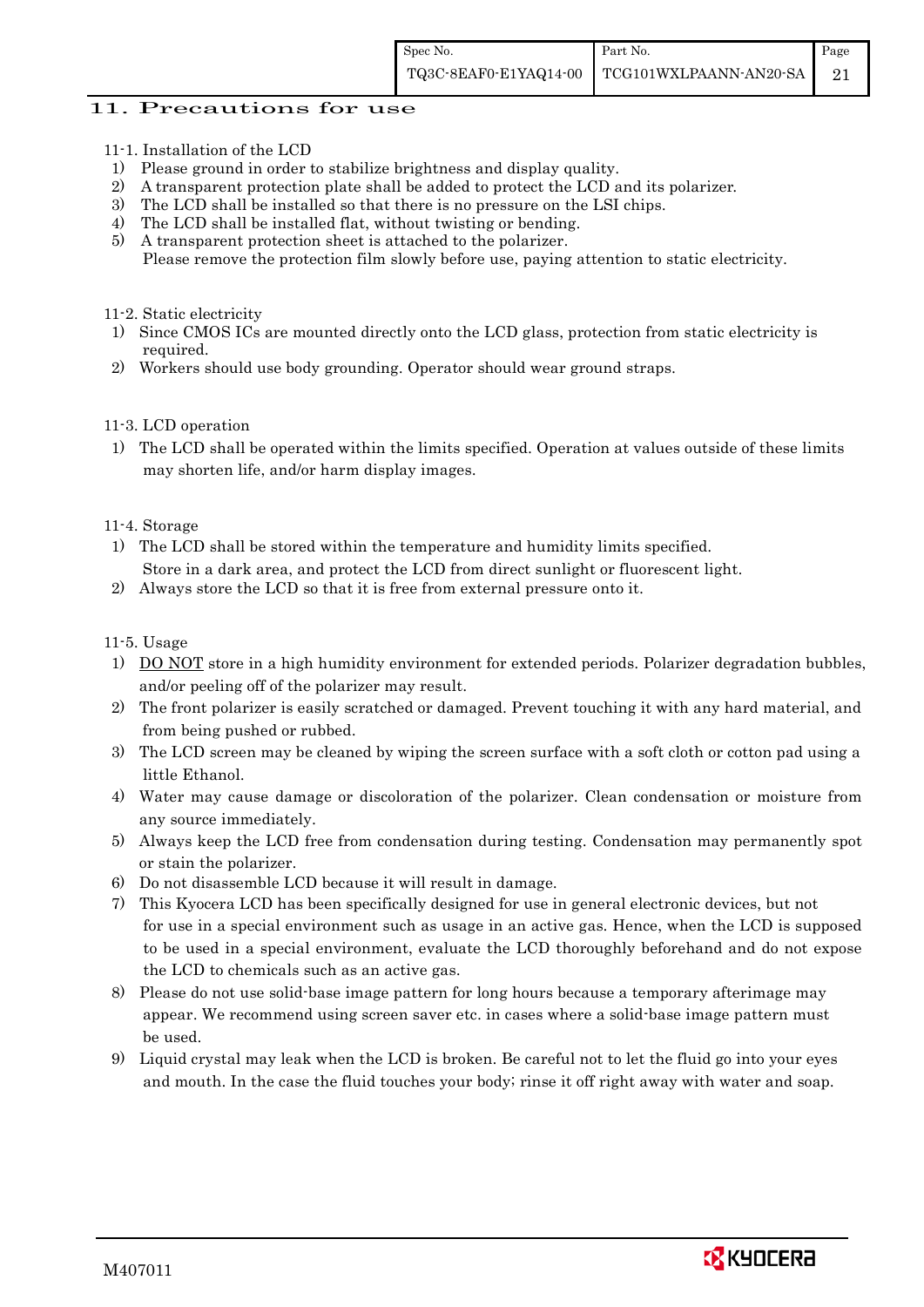### 11. Precautions for use

- 11-1. Installation of the LCD
- 1) Please ground in order to stabilize brightness and display quality.
- 2) A transparent protection plate shall be added to protect the LCD and its polarizer.
- 3) The LCD shall be installed so that there is no pressure on the LSI chips.
- 4) The LCD shall be installed flat, without twisting or bending.
- 5) A transparent protection sheet is attached to the polarizer. Please remove the protection film slowly before use, paying attention to static electricity.

#### 11-2. Static electricity

- 1) Since CMOS ICs are mounted directly onto the LCD glass, protection from static electricity is required.
- 2) Workers should use body grounding. Operator should wear ground straps.

#### 11-3. LCD operation

1) The LCD shall be operated within the limits specified. Operation at values outside of these limits may shorten life, and/or harm display images.

### 11-4. Storage

- 1) The LCD shall be stored within the temperature and humidity limits specified. Store in a dark area, and protect the LCD from direct sunlight or fluorescent light.
- 2) Always store the LCD so that it is free from external pressure onto it.

### 11-5. Usage

- 1) DO NOT store in a high humidity environment for extended periods. Polarizer degradation bubbles, and/or peeling off of the polarizer may result.
- 2) The front polarizer is easily scratched or damaged. Prevent touching it with any hard material, and from being pushed or rubbed.
- 3) The LCD screen may be cleaned by wiping the screen surface with a soft cloth or cotton pad using a little Ethanol.
- 4) Water may cause damage or discoloration of the polarizer. Clean condensation or moisture from any source immediately.
- 5) Always keep the LCD free from condensation during testing. Condensation may permanently spot or stain the polarizer.
- 6) Do not disassemble LCD because it will result in damage.
- 7) This Kyocera LCD has been specifically designed for use in general electronic devices, but not for use in a special environment such as usage in an active gas. Hence, when the LCD is supposed to be used in a special environment, evaluate the LCD thoroughly beforehand and do not expose the LCD to chemicals such as an active gas.
- 8) Please do not use solid-base image pattern for long hours because a temporary afterimage may appear. We recommend using screen saver etc. in cases where a solid-base image pattern must be used.
- 9) Liquid crystal may leak when the LCD is broken. Be careful not to let the fluid go into your eyes and mouth. In the case the fluid touches your body; rinse it off right away with water and soap.

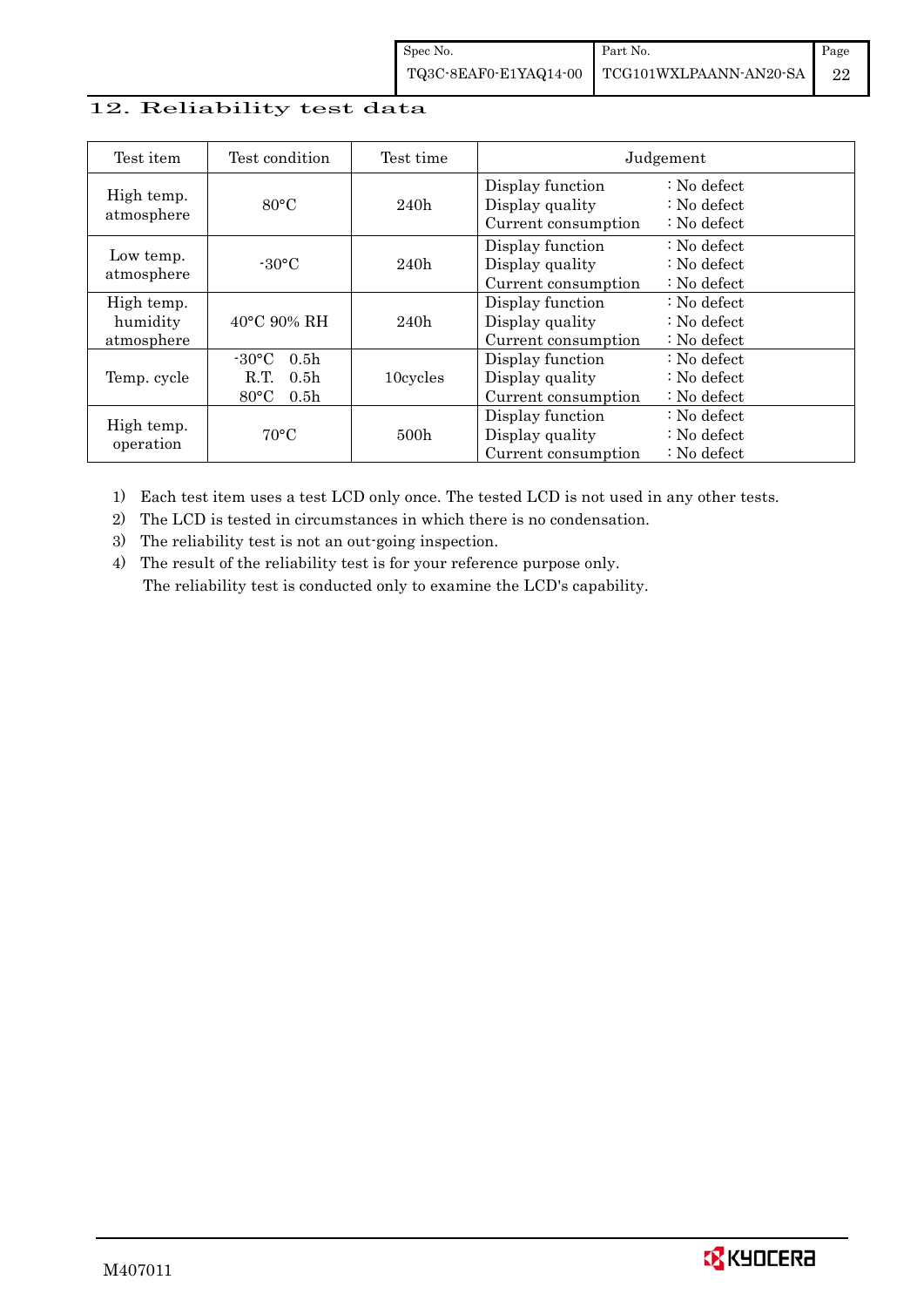## 12. Reliability test data

| Test item                            | Test condition                                                                                        | Test time        |                                                            | Judgement                                                                  |
|--------------------------------------|-------------------------------------------------------------------------------------------------------|------------------|------------------------------------------------------------|----------------------------------------------------------------------------|
| High temp.<br>atmosphere             | $80^{\circ}$ C                                                                                        | 240h             | Display function<br>Display quality<br>Current consumption | $\therefore$ No defect<br>$\therefore$ No defect<br>$\therefore$ No defect |
| Low temp.<br>atmosphere              | $-30$ °C                                                                                              | 240h             | Display function<br>Display quality<br>Current consumption | $\therefore$ No defect<br>$\therefore$ No defect<br>$\therefore$ No defect |
| High temp.<br>humidity<br>atmosphere | $40^{\circ}$ C 90% RH                                                                                 | 240h             | Display function<br>Display quality<br>Current consumption | : No defect<br>$\therefore$ No defect<br>$\therefore$ No defect            |
| Temp. cycle                          | $-30^{\circ}$ C<br>0.5 <sub>h</sub><br>R.T.<br>0.5 <sub>h</sub><br>$80^{\circ}$ C<br>0.5 <sub>h</sub> | 10cycles         | Display function<br>Display quality<br>Current consumption | $\therefore$ No defect<br>$\therefore$ No defect<br>$\therefore$ No defect |
| High temp.<br>operation              | $70^{\circ}$ C                                                                                        | 500 <sub>h</sub> | Display function<br>Display quality<br>Current consumption | $\therefore$ No defect<br>$\therefore$ No defect<br>$\therefore$ No defect |

1) Each test item uses a test LCD only once. The tested LCD is not used in any other tests.

2) The LCD is tested in circumstances in which there is no condensation.

3) The reliability test is not an out-going inspection.

4) The result of the reliability test is for your reference purpose only. The reliability test is conducted only to examine the LCD's capability.

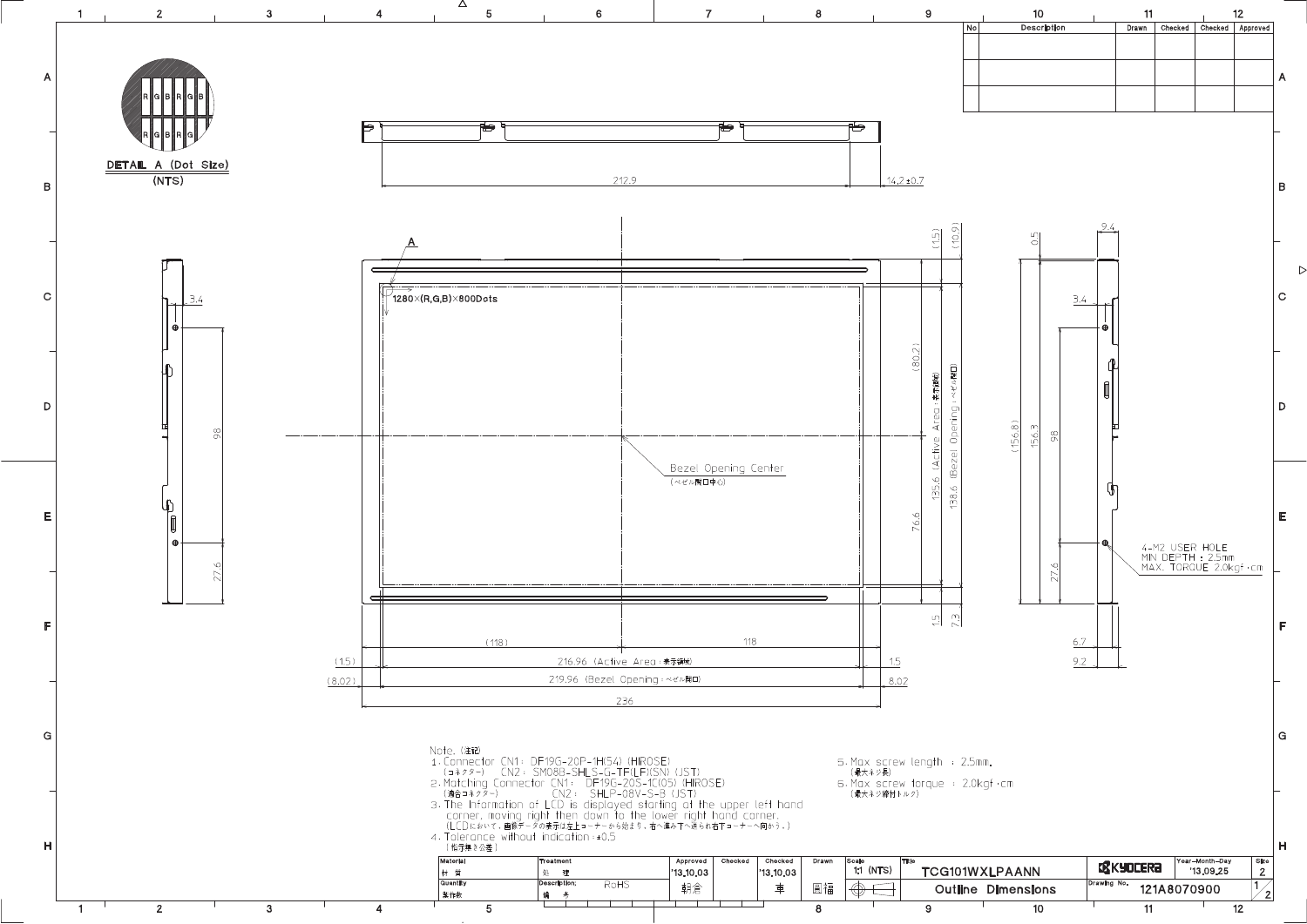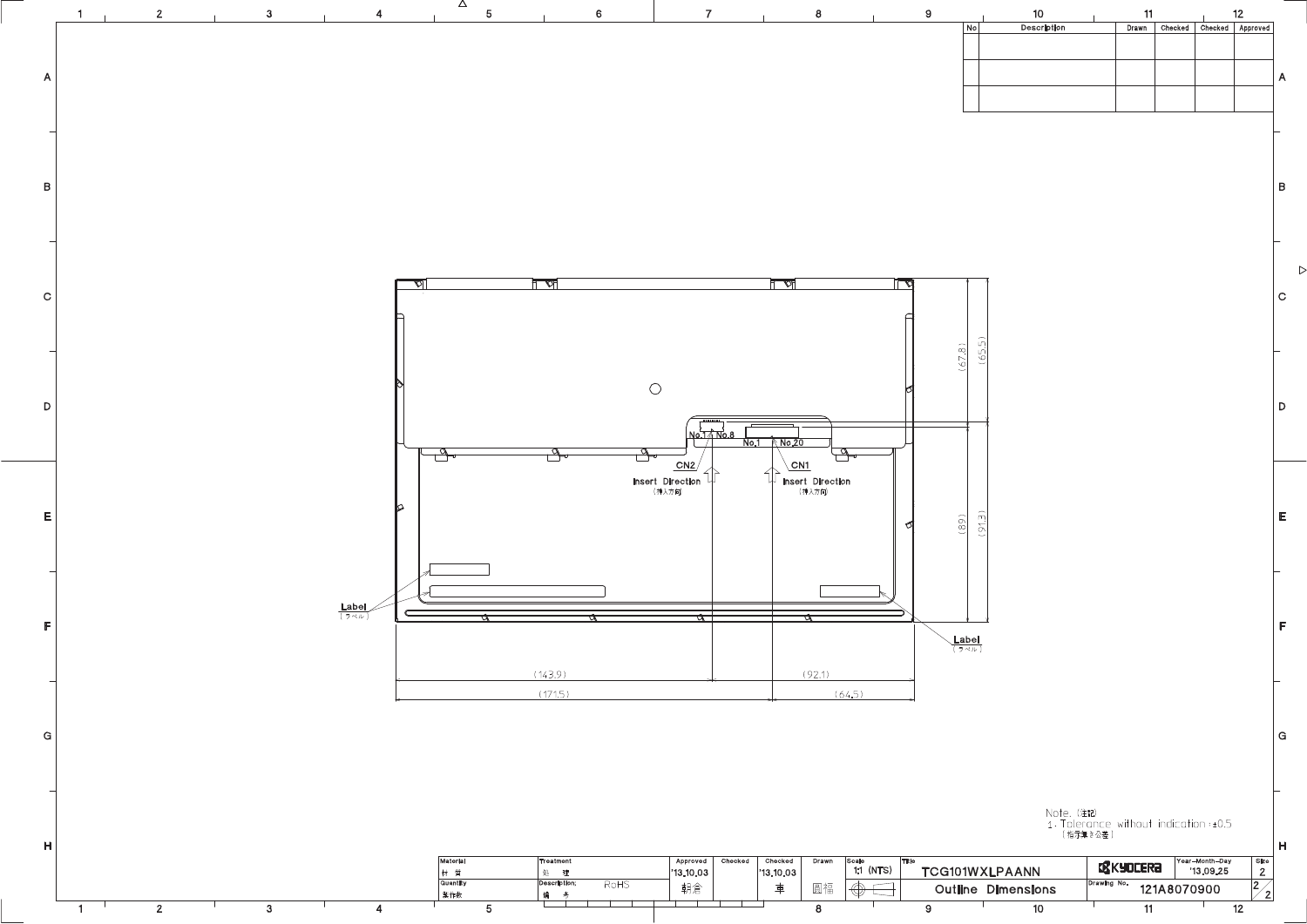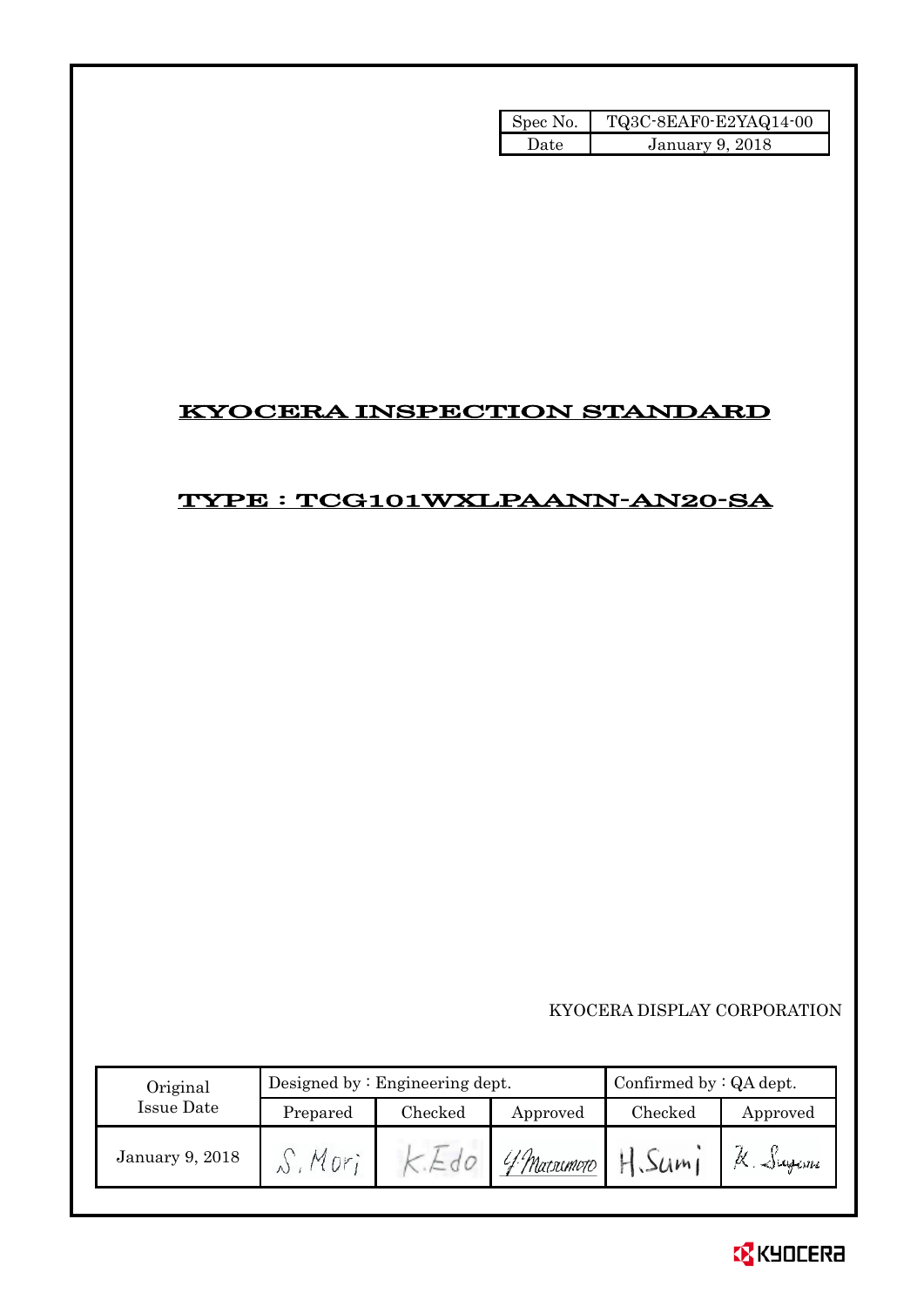| Spec No. | TQ3C-8EAF0-E2YAQ14-00 |
|----------|-----------------------|
| Date.    | January 9, 2018       |

# KYOCERA INSPECTION STANDARD

# TYPE : TCG101WXLPAANN-AN20-SA

## KYOCERA DISPLAY CORPORATION

| Original<br>Issue Date |          | Designed by $:$ Engineering dept. |              |         | Confirmed by $:QA$ dept. |  |
|------------------------|----------|-----------------------------------|--------------|---------|--------------------------|--|
|                        | Prepared | Checked                           | Approved     | Checked | Approved                 |  |
| January 9, 2018        |          |                                   | 'f Matsumoto | 50m1    | K. Sugani                |  |

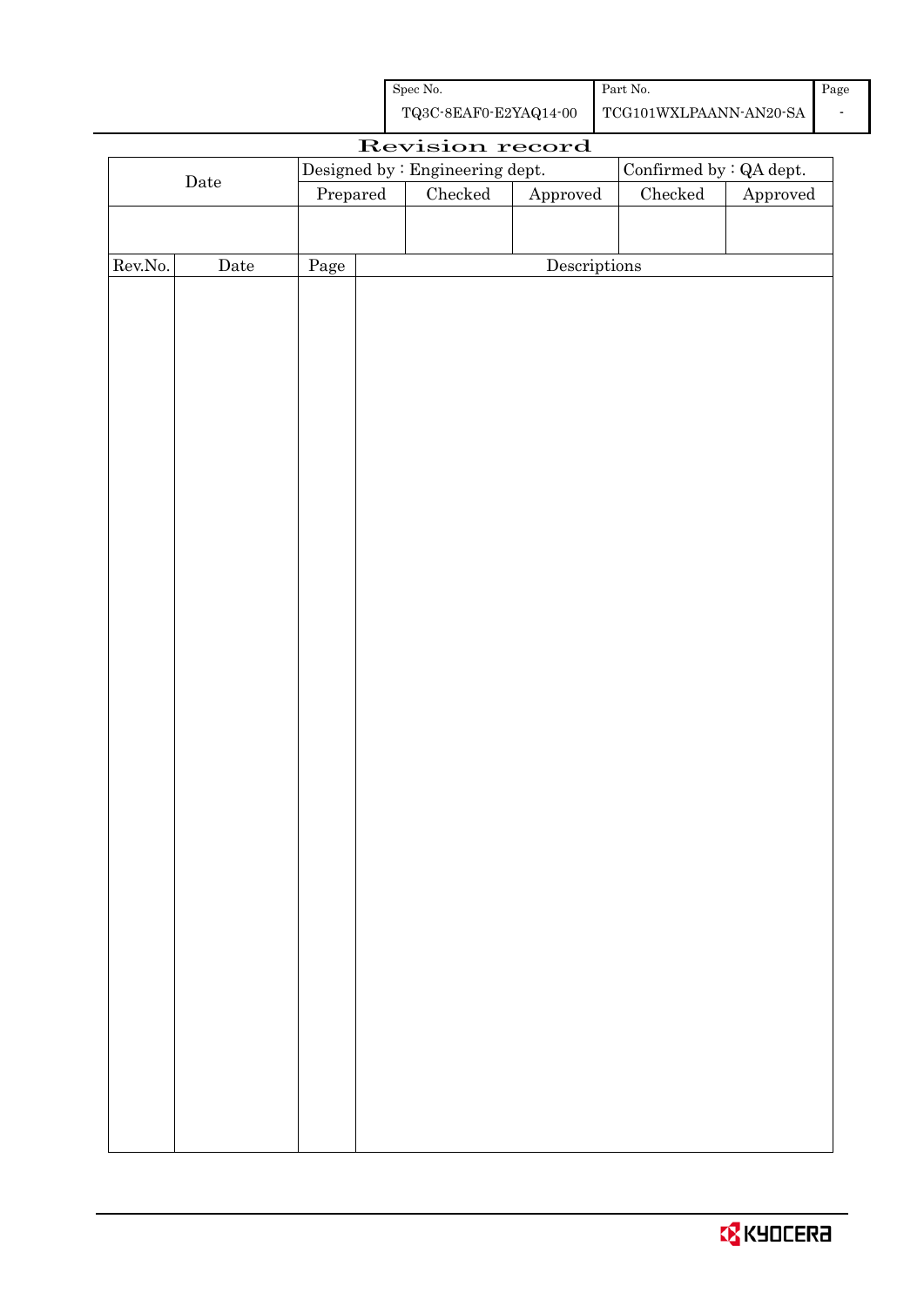| Spec No.              | Part No.               | Page |
|-----------------------|------------------------|------|
| TQ3C-8EAF0-E2YAQ14-00 | TCG101WXLPAANN-AN20-SA |      |

| Revision record  |             |                                  |  |               |                        |                                |          |  |
|------------------|-------------|----------------------------------|--|---------------|------------------------|--------------------------------|----------|--|
|                  |             | Designed by : Engineering dept.  |  |               |                        | Confirmed by $\colon$ QA dept. |          |  |
|                  | $\rm{Date}$ | $\ensuremath{\mathrm{Prepared}}$ |  | $\rm Checked$ | ${\Large\bf Approved}$ | Checked                        | Approved |  |
|                  |             |                                  |  |               |                        |                                |          |  |
|                  |             |                                  |  |               |                        |                                |          |  |
| ${\rm Rev. No.}$ | Date        | Page                             |  |               | Descriptions           |                                |          |  |
|                  |             |                                  |  |               |                        |                                |          |  |
|                  |             |                                  |  |               |                        |                                |          |  |
|                  |             |                                  |  |               |                        |                                |          |  |
|                  |             |                                  |  |               |                        |                                |          |  |
|                  |             |                                  |  |               |                        |                                |          |  |
|                  |             |                                  |  |               |                        |                                |          |  |
|                  |             |                                  |  |               |                        |                                |          |  |
|                  |             |                                  |  |               |                        |                                |          |  |
|                  |             |                                  |  |               |                        |                                |          |  |
|                  |             |                                  |  |               |                        |                                |          |  |
|                  |             |                                  |  |               |                        |                                |          |  |
|                  |             |                                  |  |               |                        |                                |          |  |
|                  |             |                                  |  |               |                        |                                |          |  |
|                  |             |                                  |  |               |                        |                                |          |  |
|                  |             |                                  |  |               |                        |                                |          |  |
|                  |             |                                  |  |               |                        |                                |          |  |
|                  |             |                                  |  |               |                        |                                |          |  |
|                  |             |                                  |  |               |                        |                                |          |  |
|                  |             |                                  |  |               |                        |                                |          |  |
|                  |             |                                  |  |               |                        |                                |          |  |
|                  |             |                                  |  |               |                        |                                |          |  |
|                  |             |                                  |  |               |                        |                                |          |  |
|                  |             |                                  |  |               |                        |                                |          |  |
|                  |             |                                  |  |               |                        |                                |          |  |
|                  |             |                                  |  |               |                        |                                |          |  |
|                  |             |                                  |  |               |                        |                                |          |  |
|                  |             |                                  |  |               |                        |                                |          |  |
|                  |             |                                  |  |               |                        |                                |          |  |
|                  |             |                                  |  |               |                        |                                |          |  |
|                  |             |                                  |  |               |                        |                                |          |  |
|                  |             |                                  |  |               |                        |                                |          |  |
|                  |             |                                  |  |               |                        |                                |          |  |
|                  |             |                                  |  |               |                        |                                |          |  |
|                  |             |                                  |  |               |                        |                                |          |  |
|                  |             |                                  |  |               |                        |                                |          |  |
|                  |             |                                  |  |               |                        |                                |          |  |
|                  |             |                                  |  |               |                        |                                |          |  |

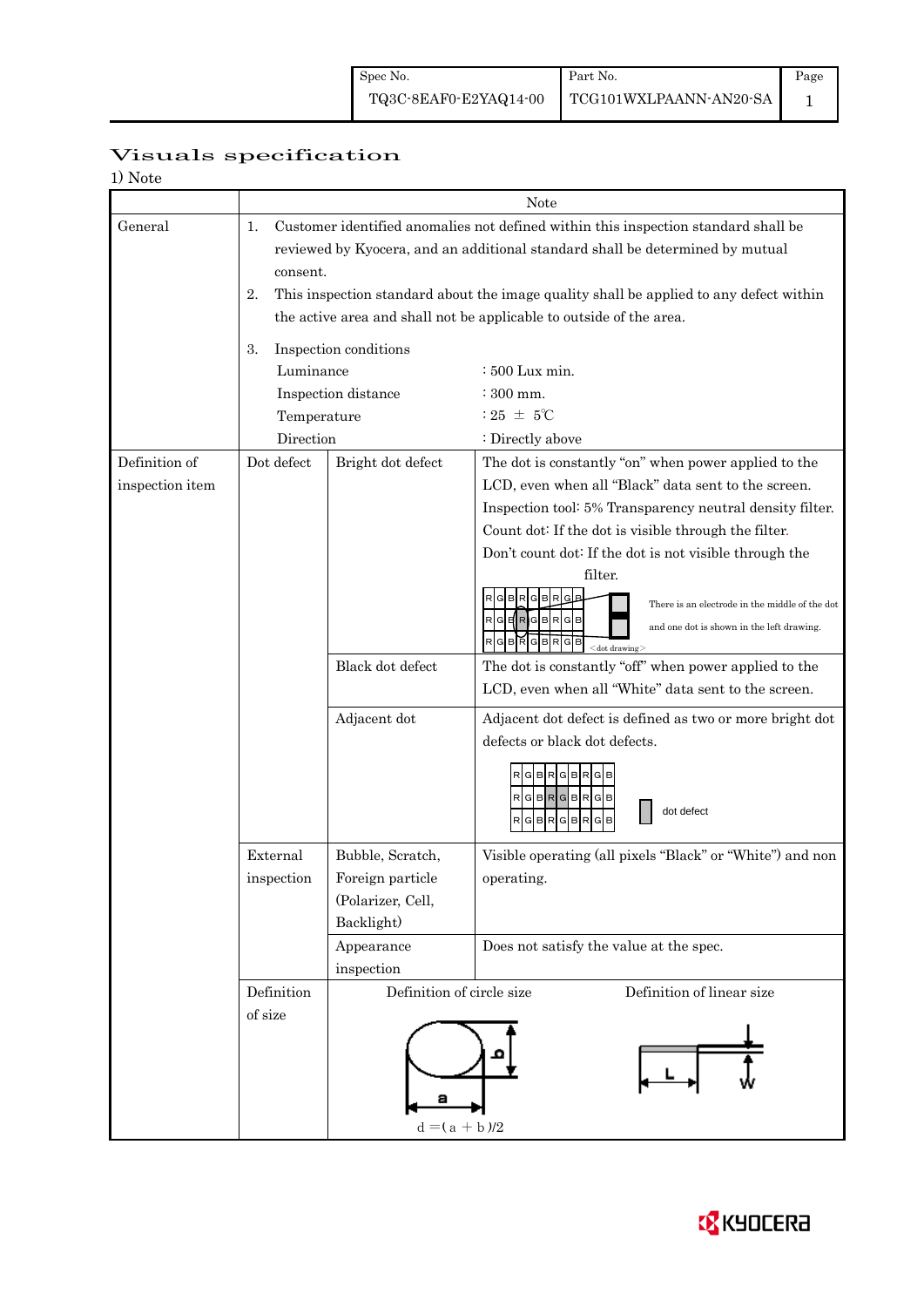Page 1

# Visuals specification

| 1) Note         |                                                                                                                                                                                       |                                                                                                                                                                     |                                                                                                                                                                                                                                                 |  |  |  |  |  |
|-----------------|---------------------------------------------------------------------------------------------------------------------------------------------------------------------------------------|---------------------------------------------------------------------------------------------------------------------------------------------------------------------|-------------------------------------------------------------------------------------------------------------------------------------------------------------------------------------------------------------------------------------------------|--|--|--|--|--|
|                 |                                                                                                                                                                                       |                                                                                                                                                                     | Note                                                                                                                                                                                                                                            |  |  |  |  |  |
| General         | Customer identified anomalies not defined within this inspection standard shall be<br>1.<br>reviewed by Kyocera, and an additional standard shall be determined by mutual<br>consent. |                                                                                                                                                                     |                                                                                                                                                                                                                                                 |  |  |  |  |  |
|                 |                                                                                                                                                                                       | This inspection standard about the image quality shall be applied to any defect within<br>2.<br>the active area and shall not be applicable to outside of the area. |                                                                                                                                                                                                                                                 |  |  |  |  |  |
|                 | Inspection conditions<br>3.                                                                                                                                                           |                                                                                                                                                                     |                                                                                                                                                                                                                                                 |  |  |  |  |  |
|                 | Luminance                                                                                                                                                                             |                                                                                                                                                                     | : 500 Lux min.                                                                                                                                                                                                                                  |  |  |  |  |  |
|                 |                                                                                                                                                                                       | Inspection distance                                                                                                                                                 | : 300 mm.                                                                                                                                                                                                                                       |  |  |  |  |  |
|                 | Temperature                                                                                                                                                                           |                                                                                                                                                                     | : 25 $\pm$ 5°C                                                                                                                                                                                                                                  |  |  |  |  |  |
|                 | Direction                                                                                                                                                                             |                                                                                                                                                                     | : Directly above                                                                                                                                                                                                                                |  |  |  |  |  |
| Definition of   | Dot defect                                                                                                                                                                            | Bright dot defect                                                                                                                                                   | The dot is constantly "on" when power applied to the                                                                                                                                                                                            |  |  |  |  |  |
| inspection item |                                                                                                                                                                                       |                                                                                                                                                                     | LCD, even when all "Black" data sent to the screen.                                                                                                                                                                                             |  |  |  |  |  |
|                 |                                                                                                                                                                                       |                                                                                                                                                                     | Inspection tool: 5% Transparency neutral density filter.                                                                                                                                                                                        |  |  |  |  |  |
|                 |                                                                                                                                                                                       |                                                                                                                                                                     | Count dot: If the dot is visible through the filter.                                                                                                                                                                                            |  |  |  |  |  |
|                 |                                                                                                                                                                                       |                                                                                                                                                                     | Don't count dot: If the dot is not visible through the<br>filter.                                                                                                                                                                               |  |  |  |  |  |
|                 |                                                                                                                                                                                       |                                                                                                                                                                     | R<br>GBR<br>G<br>There is an electrode in the middle of the dot<br>$\sf  R $ G $\sf  R $ G $\sf  B $ R $\sf  G $ B $\sf  $<br>and one dot is shown in the left drawing.<br>$\overline{R}$<br>GBRGB<br>G B<br>$\mathsf R$<br>$<$ dot drawing $>$ |  |  |  |  |  |
|                 |                                                                                                                                                                                       | Black dot defect                                                                                                                                                    | The dot is constantly "off" when power applied to the<br>LCD, even when all "White" data sent to the screen.                                                                                                                                    |  |  |  |  |  |
|                 |                                                                                                                                                                                       | Adjacent dot                                                                                                                                                        | Adjacent dot defect is defined as two or more bright dot<br>defects or black dot defects.                                                                                                                                                       |  |  |  |  |  |
|                 |                                                                                                                                                                                       |                                                                                                                                                                     | RGBRGB<br>G B<br>RGBRGBRGB<br>dot defect<br>G B<br>R<br>G B<br>R<br>R<br><b>GIB</b>                                                                                                                                                             |  |  |  |  |  |
|                 | External                                                                                                                                                                              | Bubble, Scratch,                                                                                                                                                    | Visible operating (all pixels "Black" or "White") and non                                                                                                                                                                                       |  |  |  |  |  |
|                 | inspection                                                                                                                                                                            | Foreign particle<br>(Polarizer, Cell,<br>Backlight)                                                                                                                 | operating.                                                                                                                                                                                                                                      |  |  |  |  |  |
|                 |                                                                                                                                                                                       | Appearance                                                                                                                                                          | Does not satisfy the value at the spec.                                                                                                                                                                                                         |  |  |  |  |  |
|                 |                                                                                                                                                                                       | inspection                                                                                                                                                          |                                                                                                                                                                                                                                                 |  |  |  |  |  |
|                 | Definition<br>of size                                                                                                                                                                 | Definition of circle size                                                                                                                                           | Definition of linear size                                                                                                                                                                                                                       |  |  |  |  |  |
|                 |                                                                                                                                                                                       | $d = (a + b)/2$                                                                                                                                                     |                                                                                                                                                                                                                                                 |  |  |  |  |  |